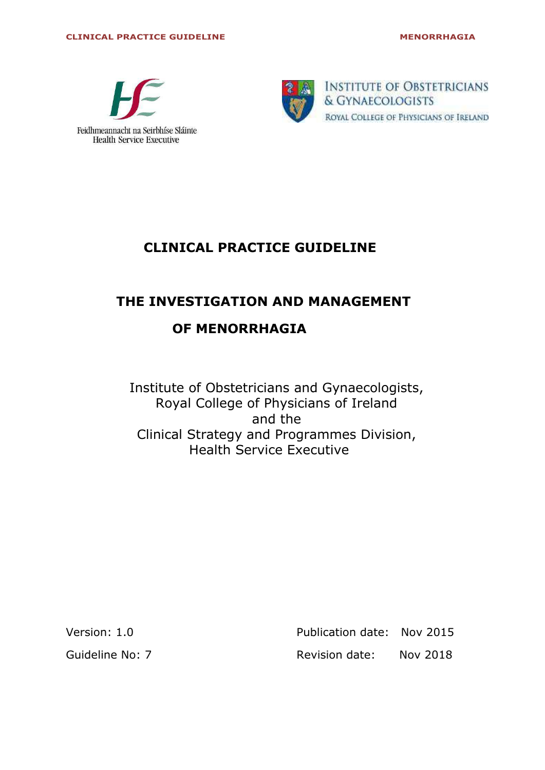



**INSTITUTE OF OBSTETRICIANS** & GYNAECOLOGISTS ROYAL COLLEGE OF PHYSICIANS OF IRELAND

## **CLINICAL PRACTICE GUIDELINE**

# **THE INVESTIGATION AND MANAGEMENT OF MENORRHAGIA**

Institute of Obstetricians and Gynaecologists, Royal College of Physicians of Ireland and the Clinical Strategy and Programmes Division, Health Service Executive

Version: 1.0 **Publication date: Nov 2015** 

Guideline No: 7 Revision date: Nov 2018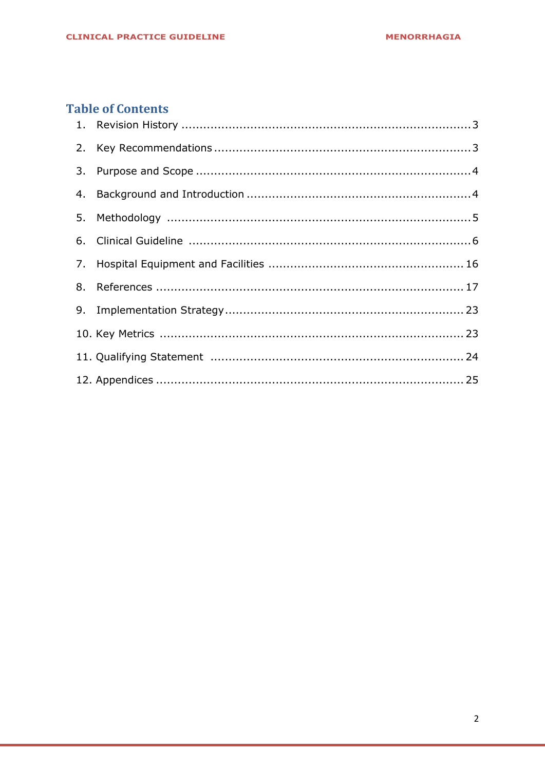## **Table of Contents**

<span id="page-1-0"></span>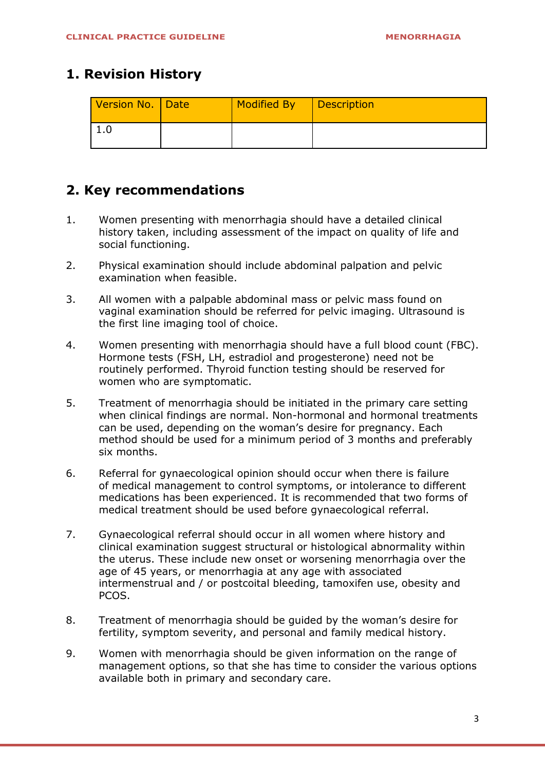### **1. Revision History**

| Version No. Date | Modified By | Description |
|------------------|-------------|-------------|
| <b>I.U</b>       |             |             |

### <span id="page-2-0"></span>**2. Key recommendations**

- 1. Women presenting with menorrhagia should have a detailed clinical history taken, including assessment of the impact on quality of life and social functioning.
- 2. Physical examination should include abdominal palpation and pelvic examination when feasible.
- 3. All women with a palpable abdominal mass or pelvic mass found on vaginal examination should be referred for pelvic imaging. Ultrasound is the first line imaging tool of choice.
- 4. Women presenting with menorrhagia should have a full blood count (FBC). Hormone tests (FSH, LH, estradiol and progesterone) need not be routinely performed. Thyroid function testing should be reserved for women who are symptomatic.
- 5. Treatment of menorrhagia should be initiated in the primary care setting when clinical findings are normal. Non-hormonal and hormonal treatments can be used, depending on the woman's desire for pregnancy. Each method should be used for a minimum period of 3 months and preferably six months.
- 6. Referral for gynaecological opinion should occur when there is failure of medical management to control symptoms, or intolerance to different medications has been experienced. It is recommended that two forms of medical treatment should be used before gynaecological referral.
- 7. Gynaecological referral should occur in all women where history and clinical examination suggest structural or histological abnormality within the uterus. These include new onset or worsening menorrhagia over the age of 45 years, or menorrhagia at any age with associated intermenstrual and / or postcoital bleeding, tamoxifen use, obesity and PCOS.
- 8. Treatment of menorrhagia should be guided by the woman's desire for fertility, symptom severity, and personal and family medical history.
- 9. Women with menorrhagia should be given information on the range of management options, so that she has time to consider the various options available both in primary and secondary care.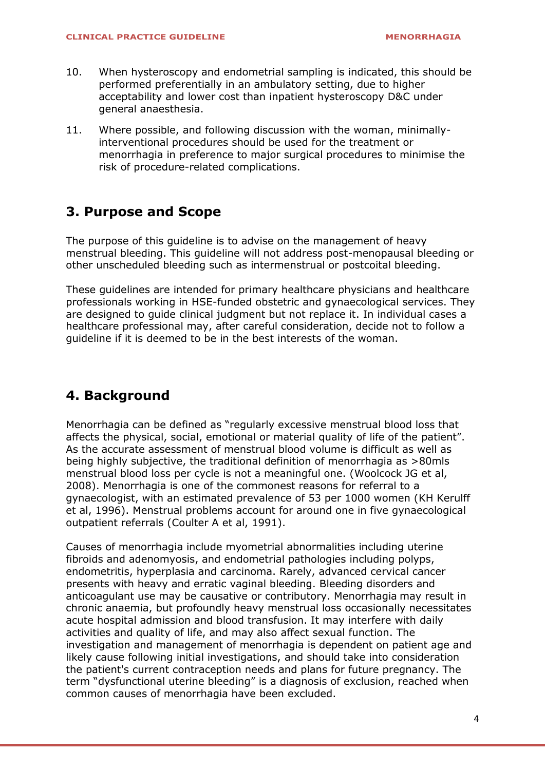- 10. When hysteroscopy and endometrial sampling is indicated, this should be performed preferentially in an ambulatory setting, due to higher acceptability and lower cost than inpatient hysteroscopy D&C under general anaesthesia.
- 11. Where possible, and following discussion with the woman, minimallyinterventional procedures should be used for the treatment or menorrhagia in preference to major surgical procedures to minimise the risk of procedure-related complications.

### <span id="page-3-0"></span>**3. Purpose and Scope**

The purpose of this guideline is to advise on the management of heavy menstrual bleeding. This guideline will not address post-menopausal bleeding or other unscheduled bleeding such as intermenstrual or postcoital bleeding.

These guidelines are intended for primary healthcare physicians and healthcare professionals working in HSE-funded obstetric and gynaecological services. They are designed to guide clinical judgment but not replace it. In individual cases a healthcare professional may, after careful consideration, decide not to follow a guideline if it is deemed to be in the best interests of the woman.

## <span id="page-3-1"></span>**4. Background**

Menorrhagia can be defined as "regularly excessive menstrual blood loss that affects the physical, social, emotional or material quality of life of the patient". As the accurate assessment of menstrual blood volume is difficult as well as being highly subjective, the traditional definition of menorrhagia as >80mls menstrual blood loss per cycle is not a meaningful one. (Woolcock JG et al, 2008). Menorrhagia is one of the commonest reasons for referral to a gynaecologist, with an estimated prevalence of 53 per 1000 women (KH Kerulff et al, 1996). Menstrual problems account for around one in five gynaecological outpatient referrals (Coulter A et al, 1991).

Causes of menorrhagia include myometrial abnormalities including uterine fibroids and adenomyosis, and endometrial pathologies including polyps, endometritis, hyperplasia and carcinoma. Rarely, advanced cervical cancer presents with heavy and erratic vaginal bleeding. Bleeding disorders and anticoagulant use may be causative or contributory. Menorrhagia may result in chronic anaemia, but profoundly heavy menstrual loss occasionally necessitates acute hospital admission and blood transfusion. It may interfere with daily activities and quality of life, and may also affect sexual function. The investigation and management of menorrhagia is dependent on patient age and likely cause following initial investigations, and should take into consideration the patient's current contraception needs and plans for future pregnancy. The term "dysfunctional uterine bleeding" is a diagnosis of exclusion, reached when common causes of menorrhagia have been excluded.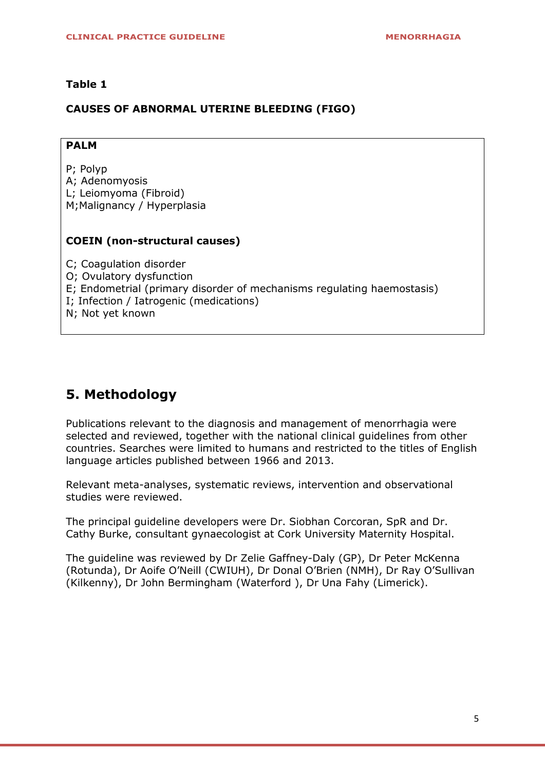#### **Table 1**

#### **CAUSES OF ABNORMAL UTERINE BLEEDING (FIGO)**

#### **PALM**

P; Polyp

- A; Adenomyosis
- L; Leiomyoma (Fibroid)
- M;Malignancy / Hyperplasia

#### **COEIN (non-structural causes)**

C; Coagulation disorder O; Ovulatory dysfunction E; Endometrial (primary disorder of mechanisms regulating haemostasis) I; Infection / Iatrogenic (medications) N; Not yet known

### **5. Methodology**

Publications relevant to the diagnosis and management of menorrhagia were selected and reviewed, together with the national clinical guidelines from other countries. Searches were limited to humans and restricted to the titles of English language articles published between 1966 and 2013.

Relevant meta-analyses, systematic reviews, intervention and observational studies were reviewed.

The principal guideline developers were Dr. Siobhan Corcoran, SpR and Dr. Cathy Burke, consultant gynaecologist at Cork University Maternity Hospital.

The guideline was reviewed by Dr Zelie Gaffney-Daly (GP), Dr Peter McKenna (Rotunda), Dr Aoife O'Neill (CWIUH), Dr Donal O'Brien (NMH), Dr Ray O'Sullivan (Kilkenny), Dr John Bermingham (Waterford ), Dr Una Fahy (Limerick).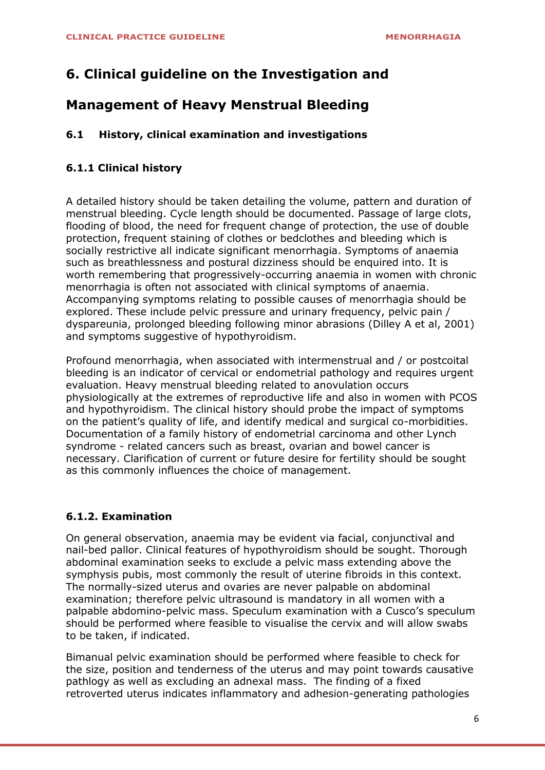## **6. Clinical guideline on the Investigation and**

### **Management of Heavy Menstrual Bleeding**

#### **6.1 History, clinical examination and investigations**

#### **6.1.1 Clinical history**

A detailed history should be taken detailing the volume, pattern and duration of menstrual bleeding. Cycle length should be documented. Passage of large clots, flooding of blood, the need for frequent change of protection, the use of double protection, frequent staining of clothes or bedclothes and bleeding which is socially restrictive all indicate significant menorrhagia. Symptoms of anaemia such as breathlessness and postural dizziness should be enquired into. It is worth remembering that progressively-occurring anaemia in women with chronic menorrhagia is often not associated with clinical symptoms of anaemia. Accompanying symptoms relating to possible causes of menorrhagia should be explored. These include pelvic pressure and urinary frequency, pelvic pain / dyspareunia, prolonged bleeding following minor abrasions (Dilley A et al, 2001) and symptoms suggestive of hypothyroidism.

Profound menorrhagia, when associated with intermenstrual and / or postcoital bleeding is an indicator of cervical or endometrial pathology and requires urgent evaluation. Heavy menstrual bleeding related to anovulation occurs physiologically at the extremes of reproductive life and also in women with PCOS and hypothyroidism. The clinical history should probe the impact of symptoms on the patient's quality of life, and identify medical and surgical co-morbidities. Documentation of a family history of endometrial carcinoma and other Lynch syndrome - related cancers such as breast, ovarian and bowel cancer is necessary. Clarification of current or future desire for fertility should be sought as this commonly influences the choice of management.

#### **6.1.2. Examination**

On general observation, anaemia may be evident via facial, conjunctival and nail-bed pallor. Clinical features of hypothyroidism should be sought. Thorough abdominal examination seeks to exclude a pelvic mass extending above the symphysis pubis, most commonly the result of uterine fibroids in this context. The normally-sized uterus and ovaries are never palpable on abdominal examination; therefore pelvic ultrasound is mandatory in all women with a palpable abdomino-pelvic mass. Speculum examination with a Cusco's speculum should be performed where feasible to visualise the cervix and will allow swabs to be taken, if indicated.

Bimanual pelvic examination should be performed where feasible to check for the size, position and tenderness of the uterus and may point towards causative pathlogy as well as excluding an adnexal mass. The finding of a fixed retroverted uterus indicates inflammatory and adhesion-generating pathologies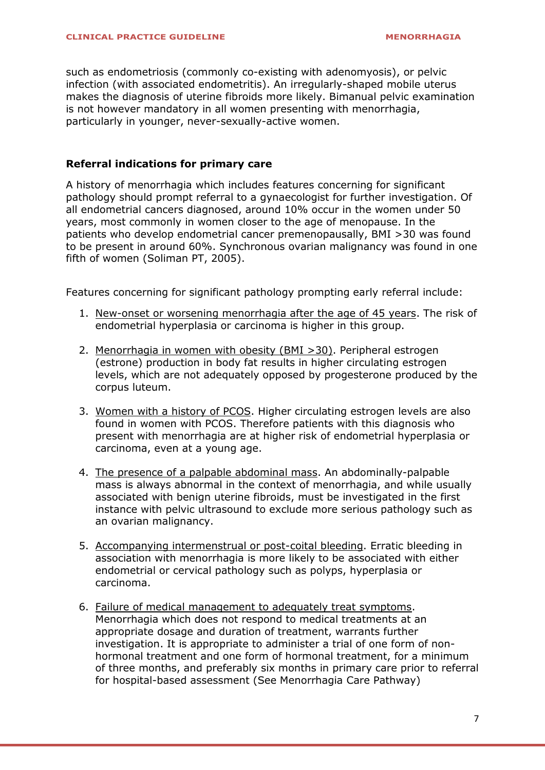such as endometriosis (commonly co-existing with adenomyosis), or pelvic infection (with associated endometritis). An irregularly-shaped mobile uterus makes the diagnosis of uterine fibroids more likely. Bimanual pelvic examination is not however mandatory in all women presenting with menorrhagia, particularly in younger, never-sexually-active women.

#### **Referral indications for primary care**

A history of menorrhagia which includes features concerning for significant pathology should prompt referral to a gynaecologist for further investigation. Of all endometrial cancers diagnosed, around 10% occur in the women under 50 years, most commonly in women closer to the age of menopause. In the patients who develop endometrial cancer premenopausally, BMI >30 was found to be present in around 60%. Synchronous ovarian malignancy was found in one fifth of women [\(Soliman PT,](http://www.ncbi.nlm.nih.gov/pubmed/?term=Soliman%20PT%5BAuthor%5D&cauthor=true&cauthor_uid=15738027) 2005).

Features concerning for significant pathology prompting early referral include:

- 1. New-onset or worsening menorrhagia after the age of 45 years. The risk of endometrial hyperplasia or carcinoma is higher in this group.
- 2. Menorrhagia in women with obesity (BMI >30). Peripheral estrogen (estrone) production in body fat results in higher circulating estrogen levels, which are not adequately opposed by progesterone produced by the corpus luteum.
- 3. Women with a history of PCOS. Higher circulating estrogen levels are also found in women with PCOS. Therefore patients with this diagnosis who present with menorrhagia are at higher risk of endometrial hyperplasia or carcinoma, even at a young age.
- 4. The presence of a palpable abdominal mass. An abdominally-palpable mass is always abnormal in the context of menorrhagia, and while usually associated with benign uterine fibroids, must be investigated in the first instance with pelvic ultrasound to exclude more serious pathology such as an ovarian malignancy.
- 5. Accompanying intermenstrual or post-coital bleeding. Erratic bleeding in association with menorrhagia is more likely to be associated with either endometrial or cervical pathology such as polyps, hyperplasia or carcinoma.
- 6. Failure of medical management to adequately treat symptoms. Menorrhagia which does not respond to medical treatments at an appropriate dosage and duration of treatment, warrants further investigation. It is appropriate to administer a trial of one form of nonhormonal treatment and one form of hormonal treatment, for a minimum of three months, and preferably six months in primary care prior to referral for hospital-based assessment (See Menorrhagia Care Pathway)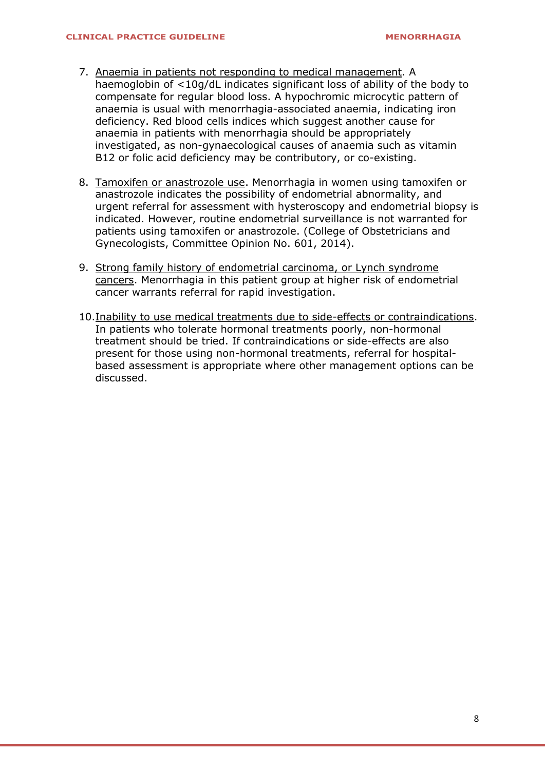- 7. Anaemia in patients not responding to medical management. A haemoglobin of <10g/dL indicates significant loss of ability of the body to compensate for regular blood loss. A hypochromic microcytic pattern of anaemia is usual with menorrhagia-associated anaemia, indicating iron deficiency. Red blood cells indices which suggest another cause for anaemia in patients with menorrhagia should be appropriately investigated, as non-gynaecological causes of anaemia such as vitamin B12 or folic acid deficiency may be contributory, or co-existing.
- 8. Tamoxifen or anastrozole use. Menorrhagia in women using tamoxifen or anastrozole indicates the possibility of endometrial abnormality, and urgent referral for assessment with hysteroscopy and endometrial biopsy is indicated. However, routine endometrial surveillance is not warranted for patients using tamoxifen or anastrozole. (College of Obstetricians and Gynecologists, Committee Opinion No. 601, 2014).
- 9. Strong family history of endometrial carcinoma, or Lynch syndrome cancers. Menorrhagia in this patient group at higher risk of endometrial cancer warrants referral for rapid investigation.
- 10.Inability to use medical treatments due to side-effects or contraindications. In patients who tolerate hormonal treatments poorly, non-hormonal treatment should be tried. If contraindications or side-effects are also present for those using non-hormonal treatments, referral for hospitalbased assessment is appropriate where other management options can be discussed.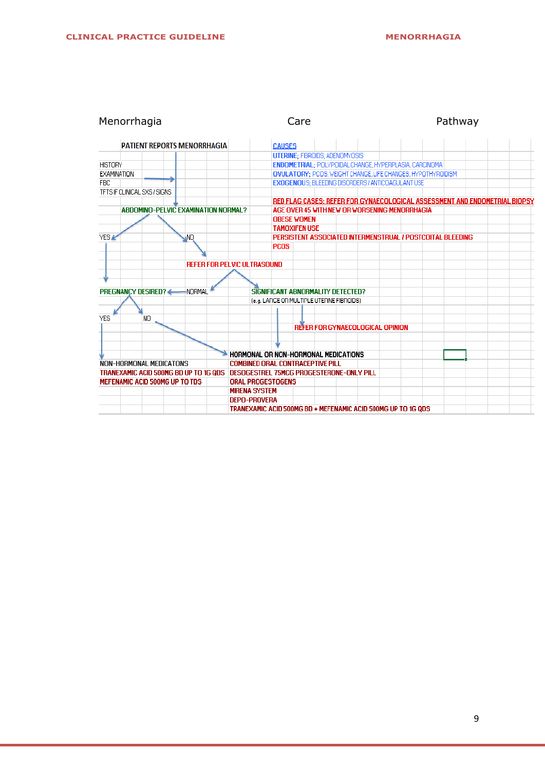| Menorrhagia                                |           | Care                                                         | Pathway                                                                    |  |  |
|--------------------------------------------|-----------|--------------------------------------------------------------|----------------------------------------------------------------------------|--|--|
| <b>PATIENT REPORTS MENORRHAGIA</b>         |           | <b>CAUSES</b>                                                |                                                                            |  |  |
|                                            |           | <b>UTERINE: FIBROIDS, ADENOMYOSIS</b>                        |                                                                            |  |  |
| <b>HISTORY</b>                             |           | ENDOMETRIAL: POLYPOIDAL CHANGE, HYPERPLASIA, CARCINOMA       |                                                                            |  |  |
| EXAMINATION                                |           |                                                              | OVULATORY: PCOS, WEIGHT CHANGE, LIFE CHANGES, HYPOTHYROIDISM               |  |  |
| <b>FBC</b>                                 |           | <b>EXOGENOUS: BLEEDING DISORDERS / ANTICOAGULANT USE</b>     |                                                                            |  |  |
| TFTS IF CLINICAL SXS / SIGNS               |           |                                                              |                                                                            |  |  |
|                                            |           |                                                              | RED FLAG CASES: REFER FOR GYNAECOLOGICAL ASSESSMENT AND ENDOMETRIAL BIOPSY |  |  |
| <b>ABDOMINO-PELVIC EXAMINATION NORMAL?</b> |           | AGE OVER 45 WITH NEW OR WORSENING MENORRHAGIA                |                                                                            |  |  |
|                                            |           | <b>OBESE WOMEN</b>                                           |                                                                            |  |  |
|                                            |           | <b>TAMOXIFEN USE</b>                                         |                                                                            |  |  |
| YES A                                      | <b>NO</b> | PERSISTENT ASSOCIATED INTERMENSTRUAL / POSTCOITAL BLEEDING   |                                                                            |  |  |
|                                            |           | <b>PCOS</b>                                                  |                                                                            |  |  |
|                                            |           |                                                              |                                                                            |  |  |
|                                            |           | <b>REFER FOR PELVIC ULTRASOUND</b>                           |                                                                            |  |  |
|                                            |           |                                                              |                                                                            |  |  |
|                                            |           |                                                              |                                                                            |  |  |
| <b>PREGNANCY DESIRED?</b>                  | -NORMAL   | SIGNIFICANT ABNORMALITY DETECTED?                            |                                                                            |  |  |
|                                            |           | (e.g. LARGE OR MULTIPLE UTERINE FIBROIDS)                    |                                                                            |  |  |
|                                            |           |                                                              |                                                                            |  |  |
| <b>YES</b><br>NO                           |           |                                                              |                                                                            |  |  |
|                                            |           | REFER FOR GYNAECOLOGICAL OPINION                             |                                                                            |  |  |
|                                            |           |                                                              |                                                                            |  |  |
|                                            |           |                                                              |                                                                            |  |  |
|                                            |           | HORMONAL OR NON-HORMONAL MEDICATIONS                         |                                                                            |  |  |
| <b>NON-HORMONAL MEDICATONS</b>             |           | <b>COMBINED ORAL CONTRACEPTIVE PILL</b>                      |                                                                            |  |  |
| TRANEXAMIC ACID 500MG BD UP TO 1G QDS      |           | DESOGESTREL 75MCG PROGESTERONE-ONLY PILL                     |                                                                            |  |  |
| MEFENAMIC ACID 500MG UP TO TDS             |           | <b>ORAL PROGESTOGENS</b>                                     |                                                                            |  |  |
|                                            |           | <b>MIRENA SYSTEM</b>                                         |                                                                            |  |  |
|                                            |           | <b>DEPO-PROVERA</b>                                          |                                                                            |  |  |
|                                            |           | TRANEXAMIC ACID 500MG BD + MEFENAMIC ACID 500MG UP TO 1G ODS |                                                                            |  |  |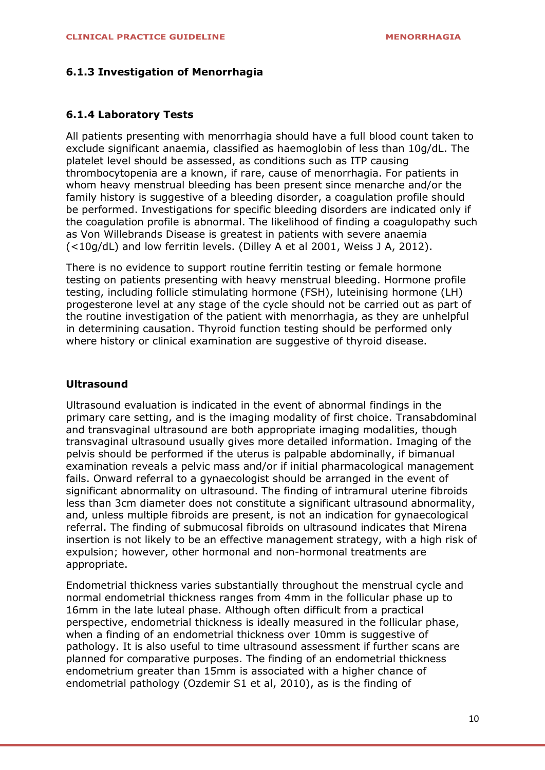#### **6.1.3 Investigation of Menorrhagia**

#### **6.1.4 Laboratory Tests**

All patients presenting with menorrhagia should have a full blood count taken to exclude significant anaemia, classified as haemoglobin of less than 10g/dL. The platelet level should be assessed, as conditions such as ITP causing thrombocytopenia are a known, if rare, cause of menorrhagia. For patients in whom heavy menstrual bleeding has been present since menarche and/or the family history is suggestive of a bleeding disorder, a coagulation profile should be performed. Investigations for specific bleeding disorders are indicated only if the coagulation profile is abnormal. The likelihood of finding a coagulopathy such as Von Willebrands Disease is greatest in patients with severe anaemia (<10g/dL) and low ferritin levels. (Dilley A et al 2001, Weiss J A, 2012).

There is no evidence to support routine ferritin testing or female hormone testing on patients presenting with heavy menstrual bleeding. Hormone profile testing, including follicle stimulating hormone (FSH), luteinising hormone (LH) progesterone level at any stage of the cycle should not be carried out as part of the routine investigation of the patient with menorrhagia, as they are unhelpful in determining causation. Thyroid function testing should be performed only where history or clinical examination are suggestive of thyroid disease.

#### **Ultrasound**

Ultrasound evaluation is indicated in the event of abnormal findings in the primary care setting, and is the imaging modality of first choice. Transabdominal and transvaginal ultrasound are both appropriate imaging modalities, though transvaginal ultrasound usually gives more detailed information. Imaging of the pelvis should be performed if the uterus is palpable abdominally, if bimanual examination reveals a pelvic mass and/or if initial pharmacological management fails. Onward referral to a gynaecologist should be arranged in the event of significant abnormality on ultrasound. The finding of intramural uterine fibroids less than 3cm diameter does not constitute a significant ultrasound abnormality, and, unless multiple fibroids are present, is not an indication for gynaecological referral. The finding of submucosal fibroids on ultrasound indicates that Mirena insertion is not likely to be an effective management strategy, with a high risk of expulsion; however, other hormonal and non-hormonal treatments are appropriate.

Endometrial thickness varies substantially throughout the menstrual cycle and normal endometrial thickness ranges from 4mm in the follicular phase up to 16mm in the late luteal phase. Although often difficult from a practical perspective, endometrial thickness is ideally measured in the follicular phase, when a finding of an endometrial thickness over 10mm is suggestive of pathology. It is also useful to time ultrasound assessment if further scans are planned for comparative purposes. The finding of an endometrial thickness endometrium greater than 15mm is associated with a higher chance of endometrial pathology (Ozdemir S1 et al, 2010), as is the finding of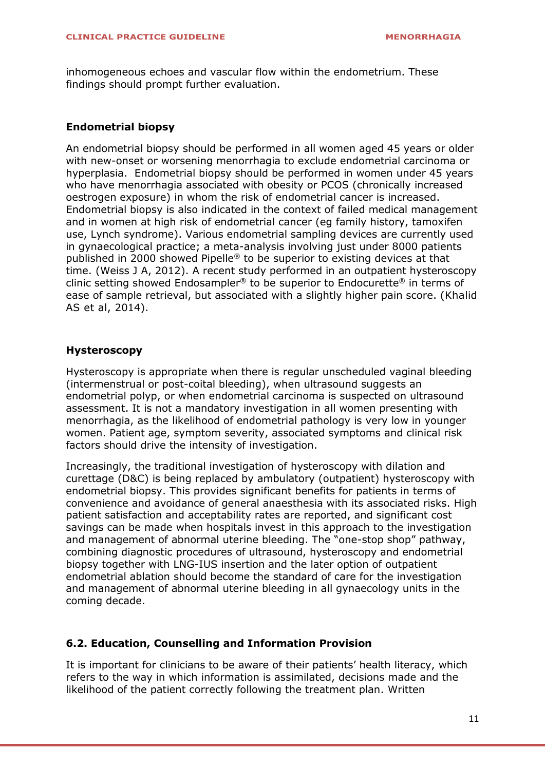inhomogeneous echoes and vascular flow within the endometrium. These findings should prompt further evaluation.

#### **Endometrial biopsy**

An endometrial biopsy should be performed in all women aged 45 years or older with new-onset or worsening menorrhagia to exclude endometrial carcinoma or hyperplasia. Endometrial biopsy should be performed in women under 45 years who have menorrhagia associated with obesity or PCOS (chronically increased oestrogen exposure) in whom the risk of endometrial cancer is increased. Endometrial biopsy is also indicated in the context of failed medical management and in women at high risk of endometrial cancer (eg family history, tamoxifen use, Lynch syndrome). Various endometrial sampling devices are currently used in gynaecological practice; a meta-analysis involving just under 8000 patients published in 2000 showed Pipelle® to be superior to existing devices at that time. (Weiss J A, 2012). A recent study performed in an outpatient hysteroscopy clinic setting showed Endosampler® to be superior to Endocurette® in terms of ease of sample retrieval, but associated with a slightly higher pain score. (Khalid AS et al, 2014).

#### **Hysteroscopy**

Hysteroscopy is appropriate when there is regular unscheduled vaginal bleeding (intermenstrual or post-coital bleeding), when ultrasound suggests an endometrial polyp, or when endometrial carcinoma is suspected on ultrasound assessment. It is not a mandatory investigation in all women presenting with menorrhagia, as the likelihood of endometrial pathology is very low in younger women. Patient age, symptom severity, associated symptoms and clinical risk factors should drive the intensity of investigation.

Increasingly, the traditional investigation of hysteroscopy with dilation and curettage (D&C) is being replaced by ambulatory (outpatient) hysteroscopy with endometrial biopsy. This provides significant benefits for patients in terms of convenience and avoidance of general anaesthesia with its associated risks. High patient satisfaction and acceptability rates are reported, and significant cost savings can be made when hospitals invest in this approach to the investigation and management of abnormal uterine bleeding. The "one-stop shop" pathway, combining diagnostic procedures of ultrasound, hysteroscopy and endometrial biopsy together with LNG-IUS insertion and the later option of outpatient endometrial ablation should become the standard of care for the investigation and management of abnormal uterine bleeding in all gynaecology units in the coming decade.

#### **6.2. Education, Counselling and Information Provision**

It is important for clinicians to be aware of their patients' health literacy, which refers to the way in which information is assimilated, decisions made and the likelihood of the patient correctly following the treatment plan. Written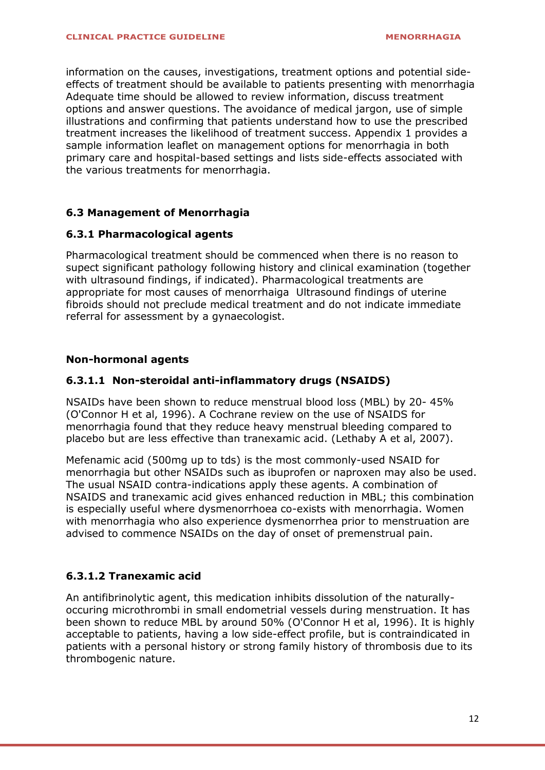information on the causes, investigations, treatment options and potential sideeffects of treatment should be available to patients presenting with menorrhagia Adequate time should be allowed to review information, discuss treatment options and answer questions. The avoidance of medical jargon, use of simple illustrations and confirming that patients understand how to use the prescribed treatment increases the likelihood of treatment success. Appendix 1 provides a sample information leaflet on management options for menorrhagia in both primary care and hospital-based settings and lists side-effects associated with the various treatments for menorrhagia.

#### **6.3 Management of Menorrhagia**

#### **6.3.1 Pharmacological agents**

Pharmacological treatment should be commenced when there is no reason to supect significant pathology following history and clinical examination (together with ultrasound findings, if indicated). Pharmacological treatments are appropriate for most causes of menorrhaiga Ultrasound findings of uterine fibroids should not preclude medical treatment and do not indicate immediate referral for assessment by a gynaecologist.

#### **Non-hormonal agents**

#### **6.3.1.1 Non-steroidal anti-inflammatory drugs (NSAIDS)**

NSAIDs have been shown to reduce menstrual blood loss (MBL) by 20- 45% (O'Connor H et al, 1996). A Cochrane review on the use of NSAIDS for menorrhagia found that they reduce heavy menstrual bleeding compared to placebo but are less effective than tranexamic acid. (Lethaby A et al, 2007).

Mefenamic acid (500mg up to tds) is the most commonly-used NSAID for menorrhagia but other NSAIDs such as ibuprofen or naproxen may also be used. The usual NSAID contra-indications apply these agents. A combination of NSAIDS and tranexamic acid gives enhanced reduction in MBL; this combination is especially useful where dysmenorrhoea co-exists with menorrhagia. Women with menorrhagia who also experience dysmenorrhea prior to menstruation are advised to commence NSAIDs on the day of onset of premenstrual pain.

#### **6.3.1.2 Tranexamic acid**

An antifibrinolytic agent, this medication inhibits dissolution of the naturallyoccuring microthrombi in small endometrial vessels during menstruation. It has been shown to reduce MBL by around 50% (O'Connor H et al, 1996). It is highly acceptable to patients, having a low side-effect profile, but is contraindicated in patients with a personal history or strong family history of thrombosis due to its thrombogenic nature.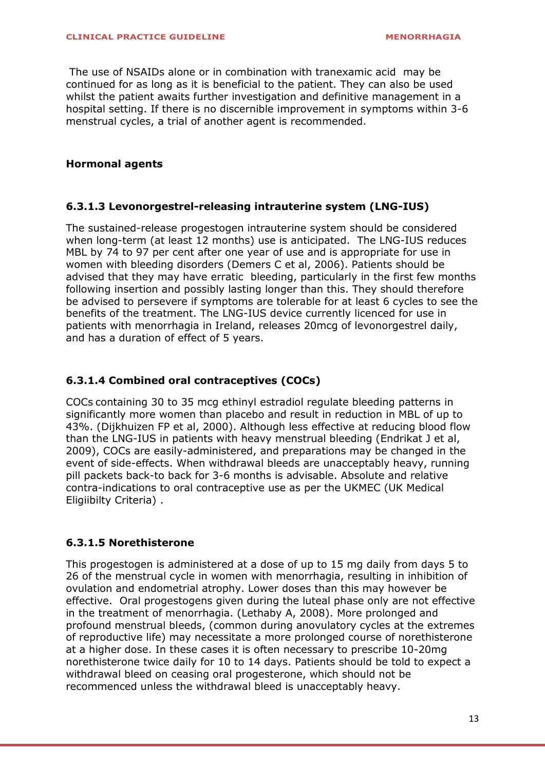The use of NSAIDs alone or in combination with tranexamic acid may be continued for as long as it is beneficial to the patient. They can also be used whilst the patient awaits further investigation and definitive management in a hospital setting. If there is no discernible improvement in symptoms within 3-6 menstrual cycles, a trial of another agent is recommended.

#### **Hormonal agents**

#### **6.3.1.3 Levonorgestrel-releasing intrauterine system (LNG-IUS)**

The sustained-release progestogen intrauterine system should be considered when long-term (at least 12 months) use is anticipated. The LNG-IUS reduces MBL by 74 to 97 per cent after one year of use and is appropriate for use in women with bleeding disorders (Demers C et al, 2006). Patients should be advised that they may have erratic bleeding, particularly in the first few months following insertion and possibly lasting longer than this. They should therefore be advised to persevere if symptoms are tolerable for at least 6 cycles to see the benefits of the treatment. The LNG-IUS device currently licenced for use in patients with menorrhagia in Ireland, releases 20mcg of levonorgestrel daily, and has a duration of effect of 5 years.

#### **6.3.1.4 Combined oral contraceptives (COCs)**

COCs containing 30 to 35 mcg ethinyl estradiol regulate bleeding patterns in significantly more women than placebo and result in reduction in MBL of up to 43%. (Dijkhuizen FP et al, 2000). Although less effective at reducing blood flow than the LNG-IUS in patients with heavy menstrual bleeding (Endrikat J et al, 2009), COCs are easily-administered, and preparations may be changed in the event of side-effects. When withdrawal bleeds are unacceptably heavy, running pill packets back-to back for 3-6 months is advisable. Absolute and relative contra-indications to oral contraceptive use as per the UKMEC (UK Medical Eligiibilty Criteria) .

#### **6.3.1.5 Norethisterone**

This progestogen is administered at a dose of up to 15 mg daily from days 5 to 26 of the menstrual cycle in women with menorrhagia, resulting in inhibition of ovulation and endometrial atrophy. Lower doses than this may however be effective. Oral progestogens given during the luteal phase only are not effective in the treatment of menorrhagia. (Lethaby A, 2008). More prolonged and profound menstrual bleeds, (common during anovulatory cycles at the extremes of reproductive life) may necessitate a more prolonged course of norethisterone at a higher dose. In these cases it is often necessary to prescribe 10-20mg norethisterone twice daily for 10 to 14 days. Patients should be told to expect a withdrawal bleed on ceasing oral progesterone, which should not be recommenced unless the withdrawal bleed is unacceptably heavy.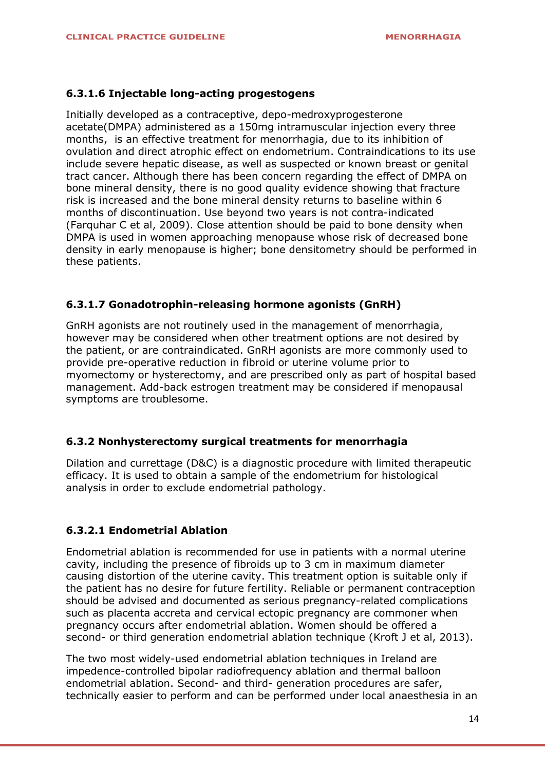#### **6.3.1.6 Injectable long-acting progestogens**

Initially developed as a contraceptive, depo-medroxyprogesterone acetate(DMPA) administered as a 150mg intramuscular injection every three months, is an effective treatment for menorrhagia, due to its inhibition of ovulation and direct atrophic effect on endometrium. Contraindications to its use include severe hepatic disease, as well as suspected or known breast or genital tract cancer. Although there has been concern regarding the effect of DMPA on bone mineral density, there is no good quality evidence showing that fracture risk is increased and the bone mineral density returns to baseline within 6 months of discontinuation. Use beyond two years is not contra-indicated (Farquhar C et al, 2009). Close attention should be paid to bone density when DMPA is used in women approaching menopause whose risk of decreased bone density in early menopause is higher; bone densitometry should be performed in these patients.

#### **6.3.1.7 Gonadotrophin-releasing hormone agonists (GnRH)**

GnRH agonists are not routinely used in the management of menorrhagia, however may be considered when other treatment options are not desired by the patient, or are contraindicated. GnRH agonists are more commonly used to provide pre-operative reduction in fibroid or uterine volume prior to myomectomy or hysterectomy, and are prescribed only as part of hospital based management. Add-back estrogen treatment may be considered if menopausal symptoms are troublesome.

#### **6.3.2 Nonhysterectomy surgical treatments for menorrhagia**

Dilation and currettage (D&C) is a diagnostic procedure with limited therapeutic efficacy. It is used to obtain a sample of the endometrium for histological analysis in order to exclude endometrial pathology.

#### **6.3.2.1 Endometrial Ablation**

Endometrial ablation is recommended for use in patients with a normal uterine cavity, including the presence of fibroids up to 3 cm in maximum diameter causing distortion of the uterine cavity. This treatment option is suitable only if the patient has no desire for future fertility. Reliable or permanent contraception should be advised and documented as serious pregnancy-related complications such as placenta accreta and cervical ectopic pregnancy are commoner when pregnancy occurs after endometrial ablation. Women should be offered a second- or third generation endometrial ablation technique (Kroft J et al, 2013).

The two most widely-used endometrial ablation techniques in Ireland are impedence-controlled bipolar radiofrequency ablation and thermal balloon endometrial ablation. Second- and third- generation procedures are safer, technically easier to perform and can be performed under local anaesthesia in an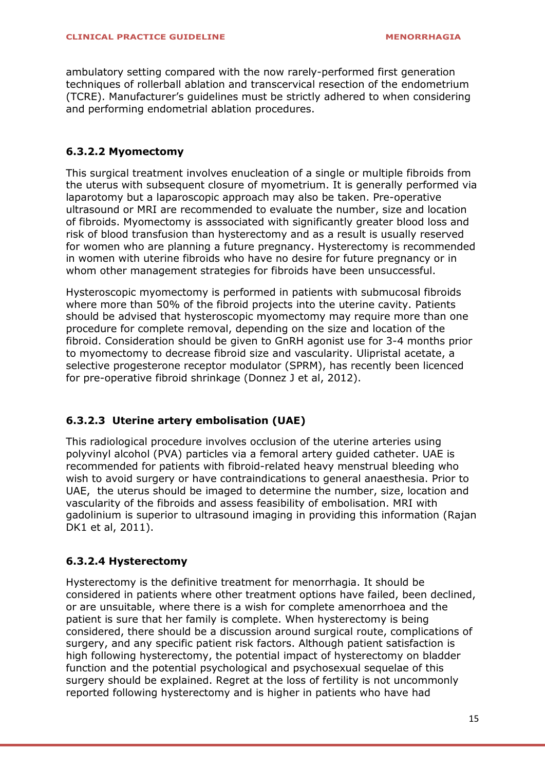ambulatory setting compared with the now rarely-performed first generation techniques of rollerball ablation and transcervical resection of the endometrium (TCRE). Manufacturer's guidelines must be strictly adhered to when considering and performing endometrial ablation procedures.

#### **6.3.2.2 Myomectomy**

This surgical treatment involves enucleation of a single or multiple fibroids from the uterus with subsequent closure of myometrium. It is generally performed via laparotomy but a laparoscopic approach may also be taken. Pre-operative ultrasound or MRI are recommended to evaluate the number, size and location of fibroids. Myomectomy is asssociated with significantly greater blood loss and risk of blood transfusion than hysterectomy and as a result is usually reserved for women who are planning a future pregnancy. Hysterectomy is recommended in women with uterine fibroids who have no desire for future pregnancy or in whom other management strategies for fibroids have been unsuccessful.

Hysteroscopic myomectomy is performed in patients with submucosal fibroids where more than 50% of the fibroid projects into the uterine cavity. Patients should be advised that hysteroscopic myomectomy may require more than one procedure for complete removal, depending on the size and location of the fibroid. Consideration should be given to GnRH agonist use for 3-4 months prior to myomectomy to decrease fibroid size and vascularity. Ulipristal acetate, a selective progesterone receptor modulator (SPRM), has recently been licenced for pre-operative fibroid shrinkage (Donnez J et al, 2012).

#### **6.3.2.3 Uterine artery embolisation (UAE)**

This radiological procedure involves occlusion of the uterine arteries using polyvinyl alcohol (PVA) particles via a femoral artery guided catheter. UAE is recommended for patients with fibroid-related heavy menstrual bleeding who wish to avoid surgery or have contraindications to general anaesthesia. Prior to UAE, the uterus should be imaged to determine the number, size, location and vascularity of the fibroids and assess feasibility of embolisation. MRI with gadolinium is superior to ultrasound imaging in providing this information (Rajan DK1 et al, 2011).

#### **6.3.2.4 Hysterectomy**

Hysterectomy is the definitive treatment for menorrhagia. It should be considered in patients where other treatment options have failed, been declined, or are unsuitable, where there is a wish for complete amenorrhoea and the patient is sure that her family is complete. When hysterectomy is being considered, there should be a discussion around surgical route, complications of surgery, and any specific patient risk factors. Although patient satisfaction is high following hysterectomy, the potential impact of hysterectomy on bladder function and the potential psychological and psychosexual sequelae of this surgery should be explained. Regret at the loss of fertility is not uncommonly reported following hysterectomy and is higher in patients who have had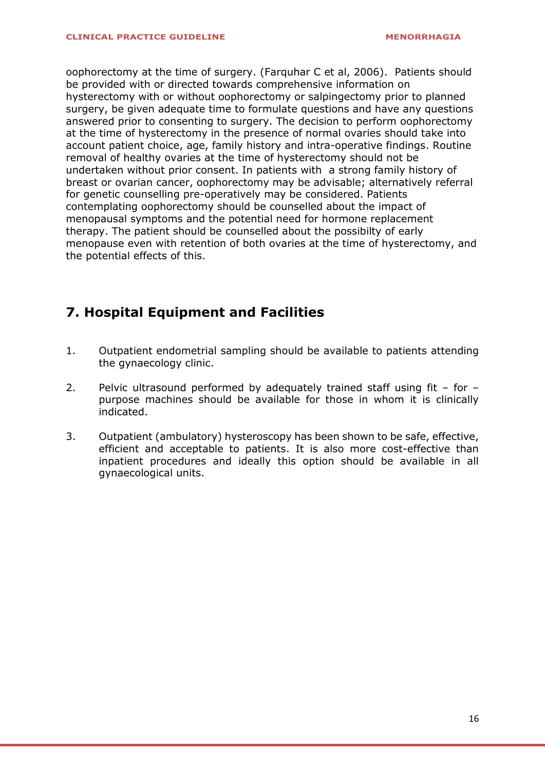oophorectomy at the time of surgery. (Farquhar C et al, 2006). Patients should be provided with or directed towards comprehensive information on hysterectomy with or without oophorectomy or salpingectomy prior to planned surgery, be given adequate time to formulate questions and have any questions answered prior to consenting to surgery. The decision to perform oophorectomy at the time of hysterectomy in the presence of normal ovaries should take into account patient choice, age, family history and intra-operative findings. Routine removal of healthy ovaries at the time of hysterectomy should not be undertaken without prior consent. In patients with a strong family history of breast or ovarian cancer, oophorectomy may be advisable; alternatively referral for genetic counselling pre-operatively may be considered. Patients contemplating oophorectomy should be counselled about the impact of menopausal symptoms and the potential need for hormone replacement therapy. The patient should be counselled about the possibilty of early menopause even with retention of both ovaries at the time of hysterectomy, and the potential effects of this.

## **7. Hospital Equipment and Facilities**

- 1. Outpatient endometrial sampling should be available to patients attending the gynaecology clinic.
- 2. Pelvic ultrasound performed by adequately trained staff using fit for purpose machines should be available for those in whom it is clinically indicated.
- 3. Outpatient (ambulatory) hysteroscopy has been shown to be safe, effective, efficient and acceptable to patients. It is also more cost-effective than inpatient procedures and ideally this option should be available in all gynaecological units.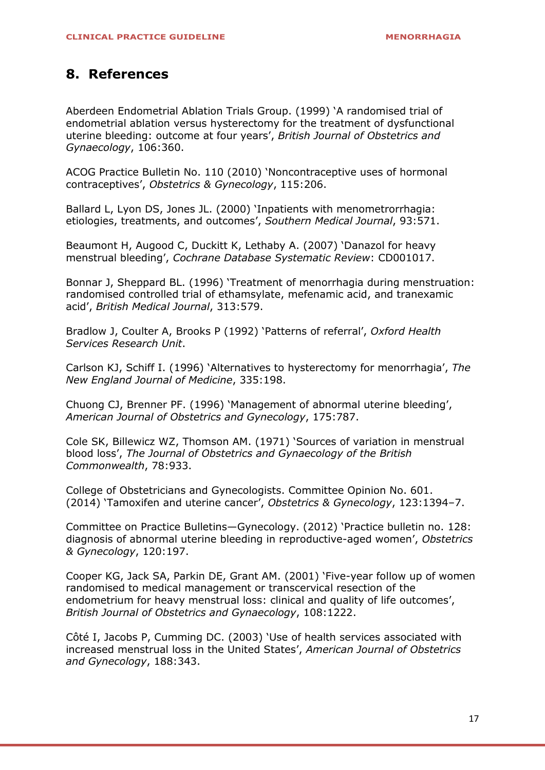### <span id="page-16-0"></span>**8. References**

Aberdeen Endometrial Ablation Trials Group. (1999) '[A randomised trial of](http://www.uptodate.com/contents/chronic-menorrhagia-or-anovulatory-uterine-bleeding/abstract/69)  [endometrial ablation versus hysterectomy for the treatment of dysfunctional](http://www.uptodate.com/contents/chronic-menorrhagia-or-anovulatory-uterine-bleeding/abstract/69)  [uterine bleeding: outcome at four years](http://www.uptodate.com/contents/chronic-menorrhagia-or-anovulatory-uterine-bleeding/abstract/69)', *British Journal of Obstetrics and [Gynaecology](http://www.uptodate.com/contents/chronic-menorrhagia-or-anovulatory-uterine-bleeding/abstract/69)*, 106:360.

[ACOG Practice Bulletin No. 110 \(2010\)](http://www.uptodate.com/contents/chronic-menorrhagia-or-anovulatory-uterine-bleeding/abstract/34) 'Noncontraceptive uses of hormonal contraceptives', *[Obstetrics & Gynecology](http://www.uptodate.com/contents/chronic-menorrhagia-or-anovulatory-uterine-bleeding/abstract/34)*, 115:206.

[Ballard L, Lyon DS, Jones JL. \(2000\)](http://www.uptodate.com/contents/chronic-menorrhagia-or-anovulatory-uterine-bleeding/abstract/74) 'Inpatients with menometrorrhagia: [etiologies, treatments, and outcomes](http://www.uptodate.com/contents/chronic-menorrhagia-or-anovulatory-uterine-bleeding/abstract/74)', *Southern Medical Journal*, 93:571.

[Beaumont H, Augood C, Duckitt K, Lethaby A. \(2007\)](http://www.uptodate.com/contents/chronic-menorrhagia-or-anovulatory-uterine-bleeding/abstract/63) 'Danazol for heavy menstrual bleeding', *[Cochrane Database Systematic Review](http://www.uptodate.com/contents/chronic-menorrhagia-or-anovulatory-uterine-bleeding/abstract/63)*: CD001017.

Bonnar J, Sheppard BL. (1996) '[Treatment of menorrhagia during menstruation:](http://www.uptodate.com/contents/chronic-menorrhagia-or-anovulatory-uterine-bleeding/abstract/51)  [randomised controlled trial of ethamsylate, mefenamic acid, and tranexamic](http://www.uptodate.com/contents/chronic-menorrhagia-or-anovulatory-uterine-bleeding/abstract/51)  acid', *[British Medical Journal](http://www.uptodate.com/contents/chronic-menorrhagia-or-anovulatory-uterine-bleeding/abstract/51)*, 313:579.

Bradlow J, Coulter A, Brooks P (1992) 'Patterns of referral', *Oxford Health Services Research Unit*.

Carlson KJ, Schiff I. (1996) '[Alternatives to hysterectomy for menorrhagia](http://www.uptodate.com/contents/chronic-menorrhagia-or-anovulatory-uterine-bleeding/abstract/64)', *The [New England Journal of Medicine](http://www.uptodate.com/contents/chronic-menorrhagia-or-anovulatory-uterine-bleeding/abstract/64)*, 335:198.

Chuong CJ, Brenner PF. (1996) '[Management of abnormal uterine bleeding](http://www.uptodate.com/contents/chronic-menorrhagia-or-anovulatory-uterine-bleeding/abstract/18)', *[American Journal of Obstetrics and Gynecology](http://www.uptodate.com/contents/chronic-menorrhagia-or-anovulatory-uterine-bleeding/abstract/18)*, 175:787.

[Cole SK, Billewicz WZ, Thomson AM. \(1971\)](http://www.uptodate.com/contents/chronic-menorrhagia-or-anovulatory-uterine-bleeding/abstract/1) 'Sources of variation in menstrual blood loss', *[The Journal of Obstetrics and Gynaecology of the British](http://www.uptodate.com/contents/chronic-menorrhagia-or-anovulatory-uterine-bleeding/abstract/1)  [Commonwealth](http://www.uptodate.com/contents/chronic-menorrhagia-or-anovulatory-uterine-bleeding/abstract/1)*, 78:933.

College of Obstetricians and Gynecologists. Committee Opinion No. 601. (2014) 'Tamoxifen and uterine cancer', *Obstetrics & Gynecology*, 123:1394–7.

[Committee on Practice Bulletins](http://www.uptodate.com/contents/chronic-menorrhagia-or-anovulatory-uterine-bleeding/abstract/17)—Gynecology. (2012) 'Practice bulletin no. 128: [diagnosis of abnormal uterine bleeding in reproductive-aged women](http://www.uptodate.com/contents/chronic-menorrhagia-or-anovulatory-uterine-bleeding/abstract/17)', *Obstetrics [& Gynecology](http://www.uptodate.com/contents/chronic-menorrhagia-or-anovulatory-uterine-bleeding/abstract/17)*, 120:197.

[Cooper KG, Jack SA, Parkin DE, Grant AM. \(2001\)](http://www.uptodate.com/contents/chronic-menorrhagia-or-anovulatory-uterine-bleeding/abstract/68) 'Five-year follow up of women [randomised to medical management or transcervical resection of the](http://www.uptodate.com/contents/chronic-menorrhagia-or-anovulatory-uterine-bleeding/abstract/68)  [endometrium for heavy menstrual loss: clinical and quality of life outcomes](http://www.uptodate.com/contents/chronic-menorrhagia-or-anovulatory-uterine-bleeding/abstract/68)', *[British Journal of Obstetrics and Gynaecology](http://www.uptodate.com/contents/chronic-menorrhagia-or-anovulatory-uterine-bleeding/abstract/68)*, 108:1222.

[Côté I, Jacobs P, Cumming DC. \(2003\)](http://www.uptodate.com/contents/chronic-menorrhagia-or-anovulatory-uterine-bleeding/abstract/4) 'Use of health services associated with [increased menstrual loss in the United States](http://www.uptodate.com/contents/chronic-menorrhagia-or-anovulatory-uterine-bleeding/abstract/4)', *American Journal of Obstetrics [and Gynecology](http://www.uptodate.com/contents/chronic-menorrhagia-or-anovulatory-uterine-bleeding/abstract/4)*, 188:343.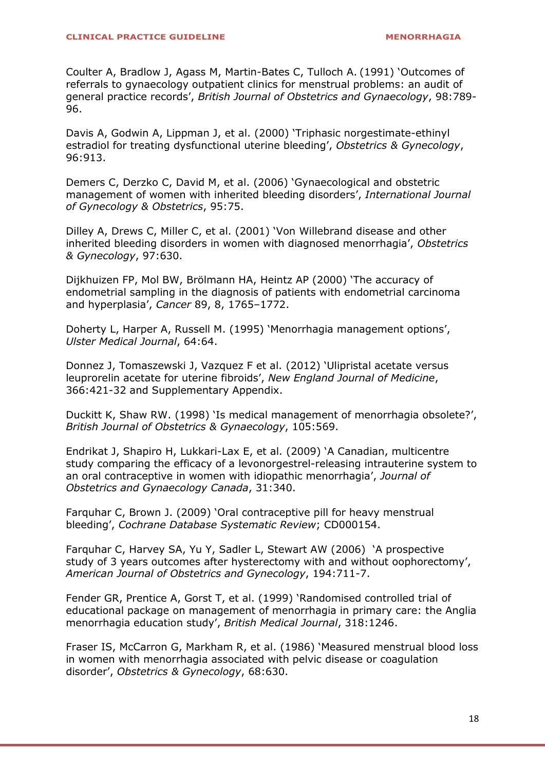Coulter A, Bradlow J, Agass M, Martin-Bates C, Tulloch A. (1991) 'Outcomes of referrals to gynaecology outpatient clinics for menstrual problems: an audit of general practice records', *British Journal of Obstetrics and Gynaecology*, 98:789- 96.

[Davis A, Godwin A, Lippman J, et al. \(2000\)](http://www.uptodate.com/contents/chronic-menorrhagia-or-anovulatory-uterine-bleeding/abstract/26) 'Triphasic norgestimate-ethinyl [estradiol for treating dysfunctional uterine bleeding](http://www.uptodate.com/contents/chronic-menorrhagia-or-anovulatory-uterine-bleeding/abstract/26)', *Obstetrics & Gynecology*, [96:913.](http://www.uptodate.com/contents/chronic-menorrhagia-or-anovulatory-uterine-bleeding/abstract/26) 

[Demers C, Derzko C, David M, et al. \(2006\)](http://www.uptodate.com/contents/chronic-menorrhagia-or-anovulatory-uterine-bleeding/abstract/22) 'Gynaecological and obstetric [management of women with inherited bleeding disorders](http://www.uptodate.com/contents/chronic-menorrhagia-or-anovulatory-uterine-bleeding/abstract/22)', *International Journal [of Gynecology & Obstetrics](http://www.uptodate.com/contents/chronic-menorrhagia-or-anovulatory-uterine-bleeding/abstract/22)*, 95:75.

[Dilley A, Drews C, Miller C, et al. \(2001\)](http://www.uptodate.com/contents/chronic-menorrhagia-or-anovulatory-uterine-bleeding/abstract/9) 'Von Willebrand disease and other [inherited bleeding disorders in women with diagnosed menorrhagia](http://www.uptodate.com/contents/chronic-menorrhagia-or-anovulatory-uterine-bleeding/abstract/9)', *Obstetrics [& Gynecology](http://www.uptodate.com/contents/chronic-menorrhagia-or-anovulatory-uterine-bleeding/abstract/9)*, 97:630.

Dijkhuizen FP, Mol BW, Brölmann HA, Heintz AP (2000) 'The accuracy of endometrial sampling in the diagnosis of patients with endometrial carcinoma and hyperplasia', *Cancer* 89, 8, 1765–1772.

[Doherty L, Harper A, Russell M. \(1995\)](http://www.uptodate.com/contents/chronic-menorrhagia-or-anovulatory-uterine-bleeding/abstract/19) 'Menorrhagia management options', *[Ulster Medical Journal](http://www.uptodate.com/contents/chronic-menorrhagia-or-anovulatory-uterine-bleeding/abstract/19)*, 64:64.

Donnez J, Tomaszewski J, Vazquez F et al. (2012) 'Ulipristal acetate versus leuprorelin acetate for uterine fibroids', *New England Journal of Medicine*, 366:421-32 and Supplementary Appendix.

Duckitt K, Shaw RW. (1998) '[Is medical management of menorrhagia obsolete?](http://www.uptodate.com/contents/chronic-menorrhagia-or-anovulatory-uterine-bleeding/abstract/20)', *[British Journal of Obstetrics & Gynaecology](http://www.uptodate.com/contents/chronic-menorrhagia-or-anovulatory-uterine-bleeding/abstract/20)*, 105:569.

Endrikat J, Shapiro H, Lukkari-Lax E, et al. (2009) 'A Canadian, multicentre study comparing the efficacy of a levonorgestrel-releasing intrauterine system to an oral contraceptive in women with idiopathic menorrhagia', *Journal of Obstetrics and Gynaecology Canada*, 31:340.

Farquhar C, Brown J. (2009) '[Oral contraceptive pill for heavy menstrual](http://www.uptodate.com/contents/chronic-menorrhagia-or-anovulatory-uterine-bleeding/abstract/31)  bleeding', *[Cochrane Database Systematic Review](http://www.uptodate.com/contents/chronic-menorrhagia-or-anovulatory-uterine-bleeding/abstract/31)*; CD000154.

Farquhar C, Harvey SA, Yu Y, Sadler L, Stewart AW (2006) 'A prospective study of 3 years outcomes after hysterectomy with and without oophorectomy', *American Journal of Obstetrics and Gynecology*, 194:711-7.

[Fender GR, Prentice A, Gorst T, et al. \(1999\)](http://www.uptodate.com/contents/chronic-menorrhagia-or-anovulatory-uterine-bleeding/abstract/21) 'Randomised controlled trial of [educational package on management of menorrhagia in primary care: the Anglia](http://www.uptodate.com/contents/chronic-menorrhagia-or-anovulatory-uterine-bleeding/abstract/21)  [menorrhagia education study](http://www.uptodate.com/contents/chronic-menorrhagia-or-anovulatory-uterine-bleeding/abstract/21)', *British Medical Journal*, 318:1246.

[Fraser IS, McCarron G, Markham R, et al. \(1986\)](http://www.uptodate.com/contents/chronic-menorrhagia-or-anovulatory-uterine-bleeding/abstract/12) 'Measured menstrual blood loss [in women with menorrhagia associated with pelvic disease or coagulation](http://www.uptodate.com/contents/chronic-menorrhagia-or-anovulatory-uterine-bleeding/abstract/12)  disorder', *[Obstetrics & Gynecology](http://www.uptodate.com/contents/chronic-menorrhagia-or-anovulatory-uterine-bleeding/abstract/12)*, 68:630.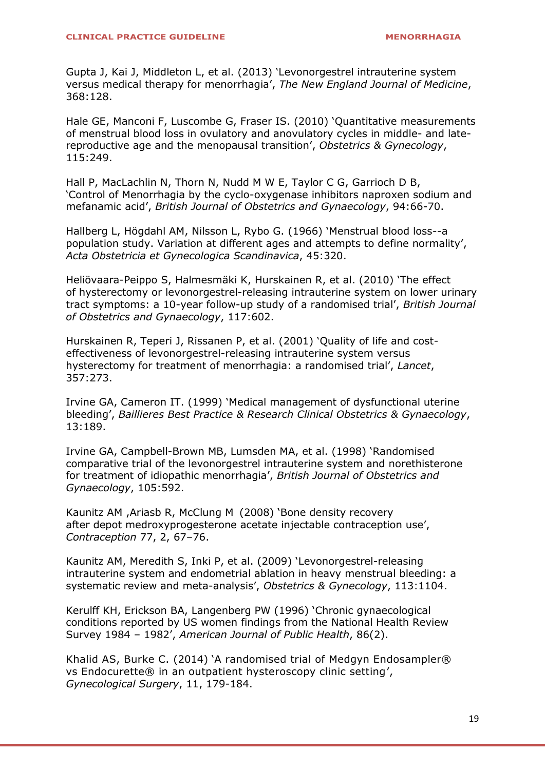[Gupta J, Kai J, Middleton L, et al. \(2013\)](http://www.uptodate.com/contents/chronic-menorrhagia-or-anovulatory-uterine-bleeding/abstract/41) 'Levonorgestrel intrauterine system [versus medical therapy for menorrhagia](http://www.uptodate.com/contents/chronic-menorrhagia-or-anovulatory-uterine-bleeding/abstract/41)', *The New England Journal of Medicine*, [368:128.](http://www.uptodate.com/contents/chronic-menorrhagia-or-anovulatory-uterine-bleeding/abstract/41) 

[Hale GE, Manconi F, Luscombe G, Fraser IS. \(2010\)](http://www.uptodate.com/contents/chronic-menorrhagia-or-anovulatory-uterine-bleeding/abstract/13) 'Quantitative measurements [of menstrual blood loss in ovulatory and anovulatory cycles in middle- and late](http://www.uptodate.com/contents/chronic-menorrhagia-or-anovulatory-uterine-bleeding/abstract/13)[reproductive age and the menopausal transition](http://www.uptodate.com/contents/chronic-menorrhagia-or-anovulatory-uterine-bleeding/abstract/13)', *Obstetrics & Gynecology*, [115:249.](http://www.uptodate.com/contents/chronic-menorrhagia-or-anovulatory-uterine-bleeding/abstract/13) 

Hall P, MacLachlin N, Thorn N, Nudd M W E, Taylor C G, Garrioch D B, 'Control of Menorrhagia by the cyclo-oxygenase inhibitors naproxen sodium and mefanamic acid', *British Journal of Obstetrics and Gynaecology*, 94:66-70.

[Hallberg L, Högdahl AM, Nilsson L, Rybo G. \(1966\)](http://www.uptodate.com/contents/chronic-menorrhagia-or-anovulatory-uterine-bleeding/abstract/2) 'Menstrual blood loss--a [population study. Variation at different ages and attempts to define normality](http://www.uptodate.com/contents/chronic-menorrhagia-or-anovulatory-uterine-bleeding/abstract/2)', *[Acta Obstetricia et Gynecologica Scandinavica](http://www.uptodate.com/contents/chronic-menorrhagia-or-anovulatory-uterine-bleeding/abstract/2)*, 45:320.

Heliövaara-Peippo S, Halmesmäki K, Hurskainen R, et al. (2010) 'The effect of hysterectomy or levonorgestrel-releasing intrauterine system on lower urinary tract symptoms: a 10-year follow-up study of a randomised trial', *British Journal of Obstetrics and Gynaecology*, 117:602.

Hurskainen R, Teperi J, Rissanen P, et al. (2001) 'Quality of life and costeffectiveness of levonorgestrel-releasing intrauterine system versus hysterectomy for treatment of menorrhagia: a randomised trial', *Lancet*, 357:273.

Irvine GA, Cameron IT. (1999) '[Medical management of dysfunctional uterine](http://www.uptodate.com/contents/chronic-menorrhagia-or-anovulatory-uterine-bleeding/abstract/57)  bleeding', *[Baillieres Best Practice & Research Clinical Obstetrics & Gynaecology](http://www.uptodate.com/contents/chronic-menorrhagia-or-anovulatory-uterine-bleeding/abstract/57)*, [13:189.](http://www.uptodate.com/contents/chronic-menorrhagia-or-anovulatory-uterine-bleeding/abstract/57) 

[Irvine GA, Campbell-Brown MB, Lumsden MA, et al. \(1998\)](http://www.uptodate.com/contents/chronic-menorrhagia-or-anovulatory-uterine-bleeding/abstract/43) 'Randomised [comparative trial of the levonorgestrel intrauterine system and norethisterone](http://www.uptodate.com/contents/chronic-menorrhagia-or-anovulatory-uterine-bleeding/abstract/43)  [for treatment of idiopathic menorrhagia](http://www.uptodate.com/contents/chronic-menorrhagia-or-anovulatory-uterine-bleeding/abstract/43)', *British Journal of Obstetrics and [Gynaecology](http://www.uptodate.com/contents/chronic-menorrhagia-or-anovulatory-uterine-bleeding/abstract/43)*, 105:592.

Kaunitz AM ,Ariasb R, McClung M (2008) 'Bone density recovery after depot medroxyprogesterone acetate injectable contraception use', *Contraception* 77, 2, 67–76.

[Kaunitz AM, Meredith S, Inki P, et al. \(2009\)](http://www.uptodate.com/contents/chronic-menorrhagia-or-anovulatory-uterine-bleeding/abstract/80) 'Levonorgestrel-releasing [intrauterine system and endometrial ablation in heavy menstrual bleeding: a](http://www.uptodate.com/contents/chronic-menorrhagia-or-anovulatory-uterine-bleeding/abstract/80)  [systematic review and meta-analysis](http://www.uptodate.com/contents/chronic-menorrhagia-or-anovulatory-uterine-bleeding/abstract/80)', *Obstetrics & Gynecology*, 113:1104.

Kerulff KH, Erickson BA, Langenberg PW (1996) 'Chronic gynaecological conditions reported by US women findings from the National Health Review Survey 1984 – 1982', *American Journal of Public Health*, 86(2).

Khalid AS, Burke C. (2014) 'A randomised trial of Medgyn Endosampler® vs Endocurette® in an outpatient hysteroscopy clinic setting', *[Gynecological Surgery](http://link.springer.com/journal/10397)*, 11, 179-184.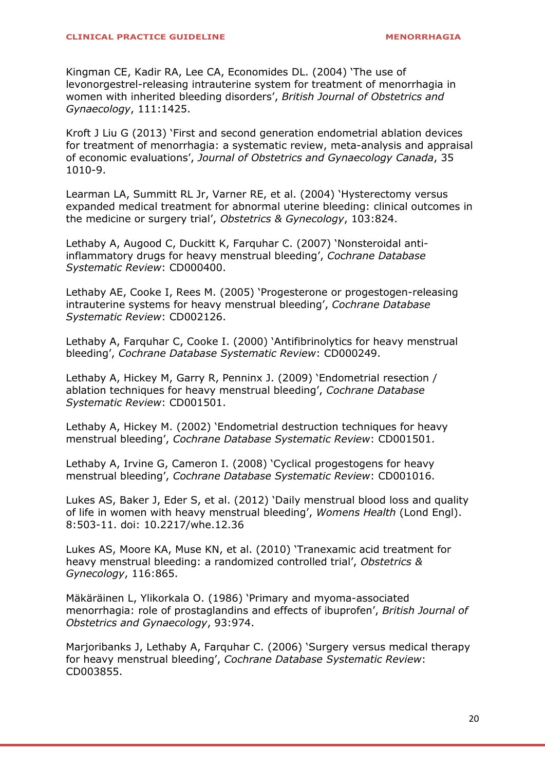[Kingman CE, Kadir RA, Lee CA, Economides DL. \(2004\)](http://www.uptodate.com/contents/chronic-menorrhagia-or-anovulatory-uterine-bleeding/abstract/37) 'The use of [levonorgestrel-releasing intrauterine system for treatment of menorrhagia in](http://www.uptodate.com/contents/chronic-menorrhagia-or-anovulatory-uterine-bleeding/abstract/37)  [women with inherited bleeding disorders](http://www.uptodate.com/contents/chronic-menorrhagia-or-anovulatory-uterine-bleeding/abstract/37)', *British Journal of Obstetrics and [Gynaecology](http://www.uptodate.com/contents/chronic-menorrhagia-or-anovulatory-uterine-bleeding/abstract/37)*, 111:1425.

Kroft J Liu G (2013) 'First and second generation endometrial ablation devices for treatment of menorrhagia: a systematic review, meta-analysis and appraisal of economic evaluations', *Journal of Obstetrics and Gynaecology Canada*, 35 1010-9.

[Learman LA, Summitt RL Jr, Varner RE, et al. \(2004\)](http://www.uptodate.com/contents/chronic-menorrhagia-or-anovulatory-uterine-bleeding/abstract/77) 'Hysterectomy versus [expanded medical treatment for abnormal uterine bleeding: clinical outcomes in](http://www.uptodate.com/contents/chronic-menorrhagia-or-anovulatory-uterine-bleeding/abstract/77)  [the medicine or surgery trial](http://www.uptodate.com/contents/chronic-menorrhagia-or-anovulatory-uterine-bleeding/abstract/77)', *Obstetrics & Gynecology*, 103:824.

[Lethaby A, Augood C, Duckitt K, Farquhar C. \(2007\)](http://www.uptodate.com/contents/chronic-menorrhagia-or-anovulatory-uterine-bleeding/abstract/50) 'Nonsteroidal anti[inflammatory drugs for heavy menstrual bleeding](http://www.uptodate.com/contents/chronic-menorrhagia-or-anovulatory-uterine-bleeding/abstract/50)', *Cochrane Database [Systematic Review](http://www.uptodate.com/contents/chronic-menorrhagia-or-anovulatory-uterine-bleeding/abstract/50)*: CD000400.

Lethaby AE, Cooke I, Rees M. (2005) '[Progesterone or progestogen-releasing](http://www.uptodate.com/contents/chronic-menorrhagia-or-anovulatory-uterine-bleeding/abstract/44)  [intrauterine systems for heavy menstrual bleeding](http://www.uptodate.com/contents/chronic-menorrhagia-or-anovulatory-uterine-bleeding/abstract/44)', *Cochrane Database [Systematic Review](http://www.uptodate.com/contents/chronic-menorrhagia-or-anovulatory-uterine-bleeding/abstract/44)*: CD002126.

[Lethaby A, Farquhar C, Cooke I. \(2000\)](http://www.uptodate.com/contents/chronic-menorrhagia-or-anovulatory-uterine-bleeding/abstract/56) 'Antifibrinolytics for heavy menstrual bleeding', *[Cochrane Database Systematic Review](http://www.uptodate.com/contents/chronic-menorrhagia-or-anovulatory-uterine-bleeding/abstract/56)*: CD000249.

[Lethaby A, Hickey M, Garry R, Penninx J. \(2009\)](http://www.uptodate.com/contents/chronic-menorrhagia-or-anovulatory-uterine-bleeding/abstract/70) 'Endometrial resection / [ablation techniques for heavy menstrual bleeding](http://www.uptodate.com/contents/chronic-menorrhagia-or-anovulatory-uterine-bleeding/abstract/70)', *Cochrane Database [Systematic Review](http://www.uptodate.com/contents/chronic-menorrhagia-or-anovulatory-uterine-bleeding/abstract/70)*: CD001501.

Lethaby A, Hickey M. (2002) '[Endometrial destruction techniques for heavy](http://www.uptodate.com/contents/chronic-menorrhagia-or-anovulatory-uterine-bleeding/abstract/71)  menstrual bleeding', *[Cochrane Database Systematic Review](http://www.uptodate.com/contents/chronic-menorrhagia-or-anovulatory-uterine-bleeding/abstract/71)*: CD001501.

[Lethaby A, Irvine G, Cameron I. \(2008\)](http://www.uptodate.com/contents/chronic-menorrhagia-or-anovulatory-uterine-bleeding/abstract/60) 'Cyclical progestogens for heavy menstrual bleeding', *[Cochrane Database Systematic Review](http://www.uptodate.com/contents/chronic-menorrhagia-or-anovulatory-uterine-bleeding/abstract/60)*: CD001016.

[Lukes AS, Baker J, Eder S, et al.](http://www.ncbi.nlm.nih.gov/entrez/query.fcgi?cmd=Retrieve&db=PubMed&dopt=Abstract&list_uids=22934724) (2012) 'Daily menstrual blood loss and quality of life in women with heavy menstrual bleeding', *Womens Health* (Lond Engl). 8:503-11. doi: 10.2217/whe.12.36

[Lukes AS, Moore KA, Muse KN, et al. \(2010\)](http://www.uptodate.com/contents/chronic-menorrhagia-or-anovulatory-uterine-bleeding/abstract/58) 'Tranexamic acid treatment for [heavy menstrual bleeding: a randomized controlled trial](http://www.uptodate.com/contents/chronic-menorrhagia-or-anovulatory-uterine-bleeding/abstract/58)', *Obstetrics & [Gynecology](http://www.uptodate.com/contents/chronic-menorrhagia-or-anovulatory-uterine-bleeding/abstract/58)*, 116:865.

[Mäkäräinen L, Ylikorkala O. \(1986\)](http://www.uptodate.com/contents/chronic-menorrhagia-or-anovulatory-uterine-bleeding/abstract/55) 'Primary and myoma-associated [menorrhagia: role of prostaglandins and effects of ibuprofen](http://www.uptodate.com/contents/chronic-menorrhagia-or-anovulatory-uterine-bleeding/abstract/55)', *British Journal of [Obstetrics and Gynaecology](http://www.uptodate.com/contents/chronic-menorrhagia-or-anovulatory-uterine-bleeding/abstract/55)*, 93:974.

[Marjoribanks J, Lethaby A, Farquhar C. \(2006\)](http://www.uptodate.com/contents/chronic-menorrhagia-or-anovulatory-uterine-bleeding/abstract/75) 'Surgery versus medical therapy for heavy menstrual bleeding', *[Cochrane Database Systematic Review](http://www.uptodate.com/contents/chronic-menorrhagia-or-anovulatory-uterine-bleeding/abstract/75)*: [CD003855.](http://www.uptodate.com/contents/chronic-menorrhagia-or-anovulatory-uterine-bleeding/abstract/75)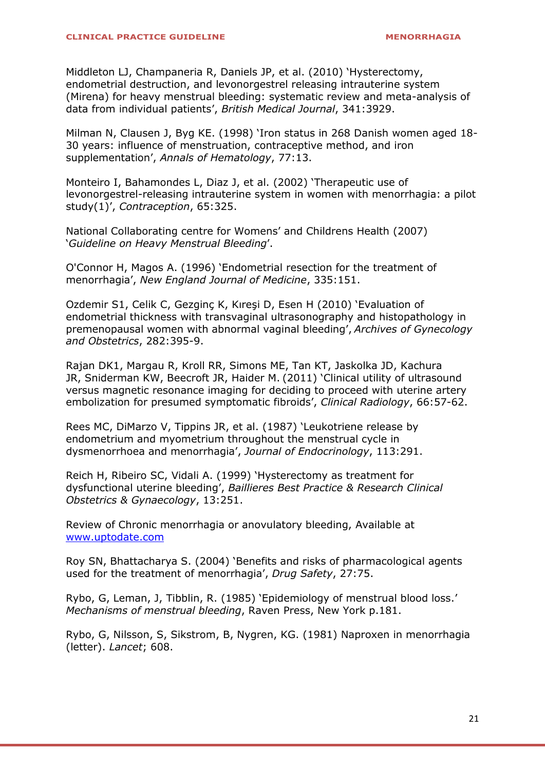[Middleton LJ, Champaneria R, Daniels JP, et al. \(2010\)](http://www.uptodate.com/contents/chronic-menorrhagia-or-anovulatory-uterine-bleeding/abstract/82) 'Hysterectomy, [endometrial destruction, and levonorgestrel releasing intrauterine system](http://www.uptodate.com/contents/chronic-menorrhagia-or-anovulatory-uterine-bleeding/abstract/82)  [\(Mirena\) for heavy menstrual bleeding: systematic review and meta-analysis of](http://www.uptodate.com/contents/chronic-menorrhagia-or-anovulatory-uterine-bleeding/abstract/82)  [data from individual patients](http://www.uptodate.com/contents/chronic-menorrhagia-or-anovulatory-uterine-bleeding/abstract/82)', *British Medical Journal*, 341:3929.

Milman N, Clausen J, Byg KE. (1998) '[Iron status in 268 Danish women aged 18-](http://www.uptodate.com/contents/chronic-menorrhagia-or-anovulatory-uterine-bleeding/abstract/10) [30 years: influence of menstruation, contraceptive method, and iron](http://www.uptodate.com/contents/chronic-menorrhagia-or-anovulatory-uterine-bleeding/abstract/10)  supplementation', *[Annals of Hematology](http://www.uptodate.com/contents/chronic-menorrhagia-or-anovulatory-uterine-bleeding/abstract/10)*, 77:13.

[Monteiro I, Bahamondes L, Diaz J, et al. \(2002\)](http://www.uptodate.com/contents/chronic-menorrhagia-or-anovulatory-uterine-bleeding/abstract/40) 'Therapeutic use of [levonorgestrel-releasing intrauterine system in women with menorrhagia: a pilot](http://www.uptodate.com/contents/chronic-menorrhagia-or-anovulatory-uterine-bleeding/abstract/40)  study(1)', *[Contraception](http://www.uptodate.com/contents/chronic-menorrhagia-or-anovulatory-uterine-bleeding/abstract/40)*, 65:325.

National Collaborating centre for Womens' and Childrens Health (2007) '*Guideline on Heavy Menstrual Bleeding*'.

O'Connor H, Magos A. (1996) '[Endometrial resection for the treatment of](http://www.uptodate.com/contents/chronic-menorrhagia-or-anovulatory-uterine-bleeding/abstract/66)  menorrhagia', *[New England Journal of Medicine](http://www.uptodate.com/contents/chronic-menorrhagia-or-anovulatory-uterine-bleeding/abstract/66)*, 335:151.

Ozdemir S1, Celik C, Gezginç K, Kıreşi D, Esen H (2010) 'Evaluation of endometrial thickness with transvaginal ultrasonography and histopathology in premenopausal women with abnormal vaginal bleeding', *Archives of Gynecology and Obstetrics*, 282:395-9.

Rajan DK1, Margau R, Kroll RR, Simons ME, Tan KT, Jaskolka JD, Kachura JR, Sniderman KW, Beecroft JR, Haider M. (2011) 'Clinical utility of ultrasound versus magnetic resonance imaging for deciding to proceed with uterine artery embolization for presumed symptomatic fibroids', *Clinical Radiology*, 66:57-62.

[Rees MC, DiMarzo V, Tippins JR, et al. \(1987\)](http://www.uptodate.com/contents/chronic-menorrhagia-or-anovulatory-uterine-bleeding/abstract/48) 'Leukotriene release by [endometrium and myometrium throughout the menstrual cycle in](http://www.uptodate.com/contents/chronic-menorrhagia-or-anovulatory-uterine-bleeding/abstract/48)  [dysmenorrhoea and menorrhagia](http://www.uptodate.com/contents/chronic-menorrhagia-or-anovulatory-uterine-bleeding/abstract/48)', *Journal of Endocrinology*, 113:291.

Reich H, Ribeiro SC, Vidali A. (1999) 'Hysterectomy as treatment for dysfunctional uterine bleeding', *Baillieres Best Practice & Research Clinical Obstetrics & Gynaecology*, 13:251.

Review of Chronic menorrhagia or anovulatory bleeding, Available at [www.uptodate.com](http://www.uptodate.com/)

Roy SN, Bhattacharya S. (2004) '[Benefits and risks of pharmacological agents](http://www.uptodate.com/contents/chronic-menorrhagia-or-anovulatory-uterine-bleeding/abstract/27)  [used for the treatment of menorrhagia](http://www.uptodate.com/contents/chronic-menorrhagia-or-anovulatory-uterine-bleeding/abstract/27)', *Drug Safety*, 27:75.

Rybo, G, Leman, J, Tibblin, R. (1985) 'Epidemiology of menstrual blood loss.' *Mechanisms of menstrual bleeding*, Raven Press, New York p.181.

Rybo, G, Nilsson, S, Sikstrom, B, Nygren, KG. (1981) Naproxen in menorrhagia (letter). *Lancet*; 608.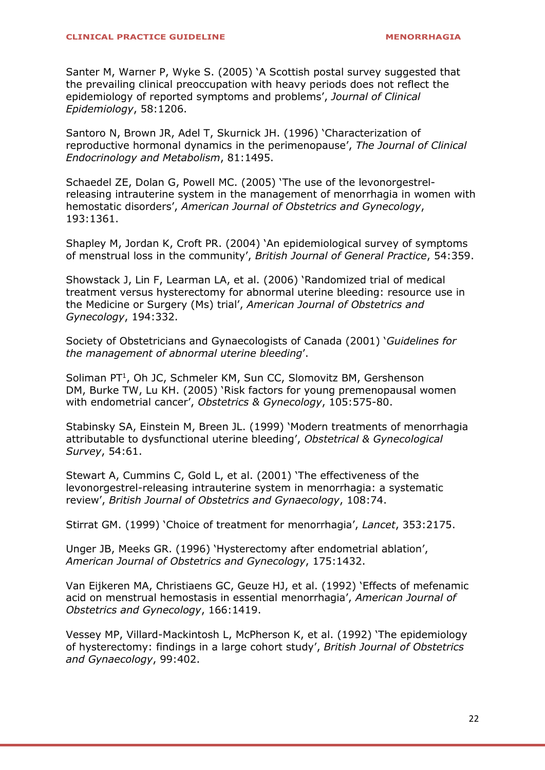Santer M, Warner P, Wyke S. (2005) '[A Scottish postal survey suggested that](http://www.uptodate.com/contents/chronic-menorrhagia-or-anovulatory-uterine-bleeding/abstract/5)  [the prevailing clinical preoccupation with heavy periods does not reflect the](http://www.uptodate.com/contents/chronic-menorrhagia-or-anovulatory-uterine-bleeding/abstract/5)  [epidemiology of reported symptoms and problems](http://www.uptodate.com/contents/chronic-menorrhagia-or-anovulatory-uterine-bleeding/abstract/5)', *Journal of Clinical [Epidemiology](http://www.uptodate.com/contents/chronic-menorrhagia-or-anovulatory-uterine-bleeding/abstract/5)*, 58:1206.

[Santoro N, Brown JR, Adel T, Skurnick JH. \(1996\)](http://www.uptodate.com/contents/chronic-menorrhagia-or-anovulatory-uterine-bleeding/abstract/15) 'Characterization of [reproductive hormonal dynamics in the perimenopause](http://www.uptodate.com/contents/chronic-menorrhagia-or-anovulatory-uterine-bleeding/abstract/15)', *The Journal of Clinical [Endocrinology and Metabolism](http://www.uptodate.com/contents/chronic-menorrhagia-or-anovulatory-uterine-bleeding/abstract/15)*, 81:1495.

[Schaedel ZE, Dolan G, Powell MC. \(2005\)](http://www.uptodate.com/contents/chronic-menorrhagia-or-anovulatory-uterine-bleeding/abstract/38) 'The use of the levonorgestrel[releasing intrauterine system in the management of menorrhagia in women with](http://www.uptodate.com/contents/chronic-menorrhagia-or-anovulatory-uterine-bleeding/abstract/38)  hemostatic disorders', *[American Journal of Obstetrics and Gynecology](http://www.uptodate.com/contents/chronic-menorrhagia-or-anovulatory-uterine-bleeding/abstract/38)*, [193:1361.](http://www.uptodate.com/contents/chronic-menorrhagia-or-anovulatory-uterine-bleeding/abstract/38) 

Shapley M, Jordan K, Croft PR. (2004) '[An epidemiological survey of symptoms](http://www.uptodate.com/contents/chronic-menorrhagia-or-anovulatory-uterine-bleeding/abstract/6)  [of menstrual loss in the community](http://www.uptodate.com/contents/chronic-menorrhagia-or-anovulatory-uterine-bleeding/abstract/6)', *British Journal of General Practice*, 54:359.

[Showstack J, Lin F, Learman LA, et al. \(2006\)](http://www.uptodate.com/contents/chronic-menorrhagia-or-anovulatory-uterine-bleeding/abstract/78) 'Randomized trial of medical [treatment versus hysterectomy for abnormal uterine bleeding: resource use in](http://www.uptodate.com/contents/chronic-menorrhagia-or-anovulatory-uterine-bleeding/abstract/78)  the Medicine or Surgery (Ms) trial', *[American Journal of Obstetrics and](http://www.uptodate.com/contents/chronic-menorrhagia-or-anovulatory-uterine-bleeding/abstract/78)  [Gynecology](http://www.uptodate.com/contents/chronic-menorrhagia-or-anovulatory-uterine-bleeding/abstract/78)*, 194:332.

Society of Obstetricians and Gynaecologists of Canada (2001) '*Guidelines for the management of abnormal uterine bleeding*'.

[Soliman PT](http://www.ncbi.nlm.nih.gov/pubmed/?term=Soliman%20PT%5BAuthor%5D&cauthor=true&cauthor_uid=15738027)<sup>1</sup>, [Oh JC,](http://www.ncbi.nlm.nih.gov/pubmed/?term=Oh%20JC%5BAuthor%5D&cauthor=true&cauthor_uid=15738027) [Schmeler KM,](http://www.ncbi.nlm.nih.gov/pubmed/?term=Schmeler%20KM%5BAuthor%5D&cauthor=true&cauthor_uid=15738027) [Sun CC,](http://www.ncbi.nlm.nih.gov/pubmed/?term=Sun%20CC%5BAuthor%5D&cauthor=true&cauthor_uid=15738027) [Slomovitz BM,](http://www.ncbi.nlm.nih.gov/pubmed/?term=Slomovitz%20BM%5BAuthor%5D&cauthor=true&cauthor_uid=15738027) Gershenson DM, [Burke TW,](http://www.ncbi.nlm.nih.gov/pubmed/?term=Burke%20TW%5BAuthor%5D&cauthor=true&cauthor_uid=15738027) [Lu KH.](http://www.ncbi.nlm.nih.gov/pubmed/?term=Lu%20KH%5BAuthor%5D&cauthor=true&cauthor_uid=15738027) (2005) 'Risk factors for young premenopausal women with endometrial cancer', *[Obstetrics & Gynecology](http://www.ncbi.nlm.nih.gov/pubmed/15738027)*, 105:575-80.

[Stabinsky SA, Einstein M, Breen JL. \(1999\)](http://www.uptodate.com/contents/chronic-menorrhagia-or-anovulatory-uterine-bleeding/abstract/62) 'Modern treatments of menorrhagia [attributable to dysfunctional uterine bleeding](http://www.uptodate.com/contents/chronic-menorrhagia-or-anovulatory-uterine-bleeding/abstract/62)', *Obstetrical & Gynecological Survey*[, 54:61.](http://www.uptodate.com/contents/chronic-menorrhagia-or-anovulatory-uterine-bleeding/abstract/62) 

[Stewart A, Cummins C, Gold L, et al. \(2001\)](http://www.uptodate.com/contents/chronic-menorrhagia-or-anovulatory-uterine-bleeding/abstract/36) 'The effectiveness of the [levonorgestrel-releasing intrauterine system in menorrhagia: a systematic](http://www.uptodate.com/contents/chronic-menorrhagia-or-anovulatory-uterine-bleeding/abstract/36)  review', *[British Journal of Obstetrics and Gynaecology](http://www.uptodate.com/contents/chronic-menorrhagia-or-anovulatory-uterine-bleeding/abstract/36)*, 108:74.

Stirrat GM. (1999) '[Choice of treatment for menorrhagia](http://www.uptodate.com/contents/chronic-menorrhagia-or-anovulatory-uterine-bleeding/abstract/65)', *Lancet*, 353:2175.

Unger JB, Meeks GR. (1996) '[Hysterectomy after endometrial ablation](http://www.uptodate.com/contents/chronic-menorrhagia-or-anovulatory-uterine-bleeding/abstract/67)', *[American Journal of Obstetrics and Gynecology](http://www.uptodate.com/contents/chronic-menorrhagia-or-anovulatory-uterine-bleeding/abstract/67)*, 175:1432.

[Van Eijkeren MA, Christiaens GC, Geuze HJ, et al. \(1992\)](http://www.uptodate.com/contents/chronic-menorrhagia-or-anovulatory-uterine-bleeding/abstract/52) 'Effects of mefenamic [acid on menstrual hemostasis in essential menorrhagia](http://www.uptodate.com/contents/chronic-menorrhagia-or-anovulatory-uterine-bleeding/abstract/52)', *American Journal of [Obstetrics and Gynecology](http://www.uptodate.com/contents/chronic-menorrhagia-or-anovulatory-uterine-bleeding/abstract/52)*, 166:1419.

[Vessey MP, Villard-Mackintosh L, McPherson K, et al. \(1992\)](http://www.uptodate.com/contents/chronic-menorrhagia-or-anovulatory-uterine-bleeding/abstract/8) 'The epidemiology [of hysterectomy: findings in a large cohort study](http://www.uptodate.com/contents/chronic-menorrhagia-or-anovulatory-uterine-bleeding/abstract/8)', *British Journal of Obstetrics [and Gynaecology](http://www.uptodate.com/contents/chronic-menorrhagia-or-anovulatory-uterine-bleeding/abstract/8)*, 99:402.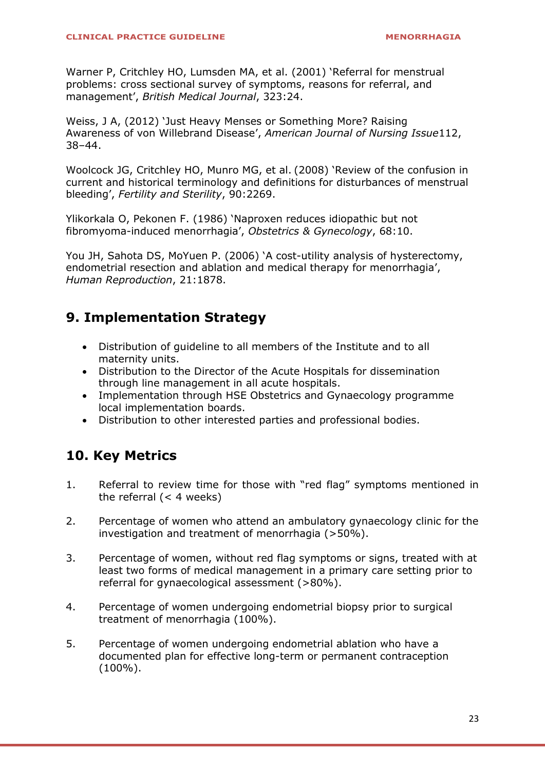[Warner P, Critchley HO, Lumsden MA, et al. \(2001\)](http://www.uptodate.com/contents/chronic-menorrhagia-or-anovulatory-uterine-bleeding/abstract/7) 'Referral for menstrual [problems: cross sectional survey of symptoms, reasons for referral, and](http://www.uptodate.com/contents/chronic-menorrhagia-or-anovulatory-uterine-bleeding/abstract/7)  management', *[British Medical Journal](http://www.uptodate.com/contents/chronic-menorrhagia-or-anovulatory-uterine-bleeding/abstract/7)*, 323:24.

Weiss, J A, (2012) 'Just Heavy Menses or Something More? Raising Awareness of von Willebrand Disease', *American Journal of Nursing Issue*112, 38–44.

[Woolcock JG, Critchley HO, Munro MG, et al.](http://www.uptodate.com/contents/chronic-menorrhagia-or-anovulatory-uterine-bleeding/abstract/3) (2008) 'Review of the confusion in [current and historical terminology and definitions for disturbances of menstrual](http://www.uptodate.com/contents/chronic-menorrhagia-or-anovulatory-uterine-bleeding/abstract/3)  bleeding', *[Fertility and Sterility](http://www.uptodate.com/contents/chronic-menorrhagia-or-anovulatory-uterine-bleeding/abstract/3)*, 90:2269.

Ylikorkala O, Pekonen F. (1986) '[Naproxen reduces idiopathic but not](http://www.uptodate.com/contents/chronic-menorrhagia-or-anovulatory-uterine-bleeding/abstract/53)  [fibromyoma-induced menorrhagia](http://www.uptodate.com/contents/chronic-menorrhagia-or-anovulatory-uterine-bleeding/abstract/53)', *Obstetrics & Gynecology*, 68:10.

You JH, Sahota DS, MoYuen P. (2006) '[A cost-utility analysis of hysterectomy,](http://www.uptodate.com/contents/chronic-menorrhagia-or-anovulatory-uterine-bleeding/abstract/79)  [endometrial resection and ablation and medical therapy for menorrhagia](http://www.uptodate.com/contents/chronic-menorrhagia-or-anovulatory-uterine-bleeding/abstract/79)', *[Human Reproduction](http://www.uptodate.com/contents/chronic-menorrhagia-or-anovulatory-uterine-bleeding/abstract/79)*, 21:1878.

## **9. Implementation Strategy**

- Distribution of guideline to all members of the Institute and to all maternity units.
- Distribution to the Director of the Acute Hospitals for dissemination through line management in all acute hospitals.
- Implementation through HSE Obstetrics and Gynaecology programme local implementation boards.
- Distribution to other interested parties and professional bodies.

## **10. Key Metrics**

- 1. Referral to review time for those with "red flag" symptoms mentioned in the referral  $(< 4$  weeks)
- 2. Percentage of women who attend an ambulatory gynaecology clinic for the investigation and treatment of menorrhagia (>50%).
- 3. Percentage of women, without red flag symptoms or signs, treated with at least two forms of medical management in a primary care setting prior to referral for gynaecological assessment (>80%).
- 4. Percentage of women undergoing endometrial biopsy prior to surgical treatment of menorrhagia (100%).
- 5. Percentage of women undergoing endometrial ablation who have a documented plan for effective long-term or permanent contraception (100%).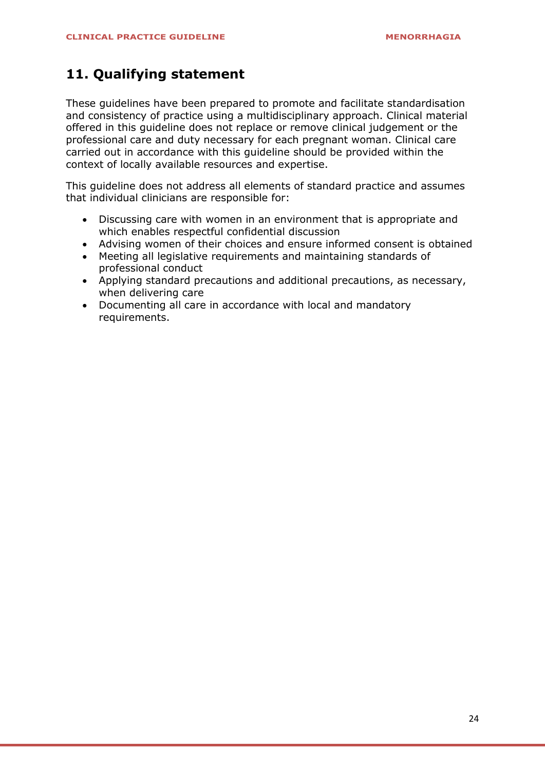### **11. Qualifying statement**

These guidelines have been prepared to promote and facilitate standardisation and consistency of practice using a multidisciplinary approach. Clinical material offered in this guideline does not replace or remove clinical judgement or the professional care and duty necessary for each pregnant woman. Clinical care carried out in accordance with this guideline should be provided within the context of locally available resources and expertise.

This guideline does not address all elements of standard practice and assumes that individual clinicians are responsible for:

- Discussing care with women in an environment that is appropriate and which enables respectful confidential discussion
- Advising women of their choices and ensure informed consent is obtained
- Meeting all legislative requirements and maintaining standards of professional conduct
- Applying standard precautions and additional precautions, as necessary, when delivering care
- Documenting all care in accordance with local and mandatory requirements.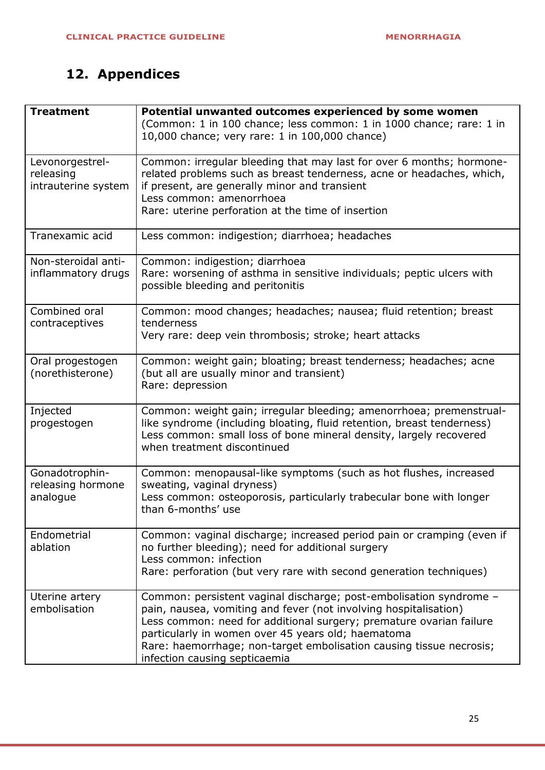# **12. Appendices**

| <b>Treatment</b>                                    | Potential unwanted outcomes experienced by some women<br>(Common: 1 in 100 chance; less common: 1 in 1000 chance; rare: 1 in<br>10,000 chance; very rare: 1 in 100,000 chance)                                                                                                                                                                                              |
|-----------------------------------------------------|-----------------------------------------------------------------------------------------------------------------------------------------------------------------------------------------------------------------------------------------------------------------------------------------------------------------------------------------------------------------------------|
| Levonorgestrel-<br>releasing<br>intrauterine system | Common: irregular bleeding that may last for over 6 months; hormone-<br>related problems such as breast tenderness, acne or headaches, which,<br>if present, are generally minor and transient<br>Less common: amenorrhoea<br>Rare: uterine perforation at the time of insertion                                                                                            |
| Tranexamic acid                                     | Less common: indigestion; diarrhoea; headaches                                                                                                                                                                                                                                                                                                                              |
| Non-steroidal anti-<br>inflammatory drugs           | Common: indigestion; diarrhoea<br>Rare: worsening of asthma in sensitive individuals; peptic ulcers with<br>possible bleeding and peritonitis                                                                                                                                                                                                                               |
| Combined oral<br>contraceptives                     | Common: mood changes; headaches; nausea; fluid retention; breast<br>tenderness<br>Very rare: deep vein thrombosis; stroke; heart attacks                                                                                                                                                                                                                                    |
| Oral progestogen<br>(norethisterone)                | Common: weight gain; bloating; breast tenderness; headaches; acne<br>(but all are usually minor and transient)<br>Rare: depression                                                                                                                                                                                                                                          |
| Injected<br>progestogen                             | Common: weight gain; irregular bleeding; amenorrhoea; premenstrual-<br>like syndrome (including bloating, fluid retention, breast tenderness)<br>Less common: small loss of bone mineral density, largely recovered<br>when treatment discontinued                                                                                                                          |
| Gonadotrophin-<br>releasing hormone<br>analogue     | Common: menopausal-like symptoms (such as hot flushes, increased<br>sweating, vaginal dryness)<br>Less common: osteoporosis, particularly trabecular bone with longer<br>than 6-months' use                                                                                                                                                                                 |
| Endometrial<br>ablation                             | Common: vaginal discharge; increased period pain or cramping (even if<br>no further bleeding); need for additional surgery<br>Less common: infection<br>Rare: perforation (but very rare with second generation techniques)                                                                                                                                                 |
| Uterine artery<br>embolisation                      | Common: persistent vaginal discharge; post-embolisation syndrome -<br>pain, nausea, vomiting and fever (not involving hospitalisation)<br>Less common: need for additional surgery; premature ovarian failure<br>particularly in women over 45 years old; haematoma<br>Rare: haemorrhage; non-target embolisation causing tissue necrosis;<br>infection causing septicaemia |